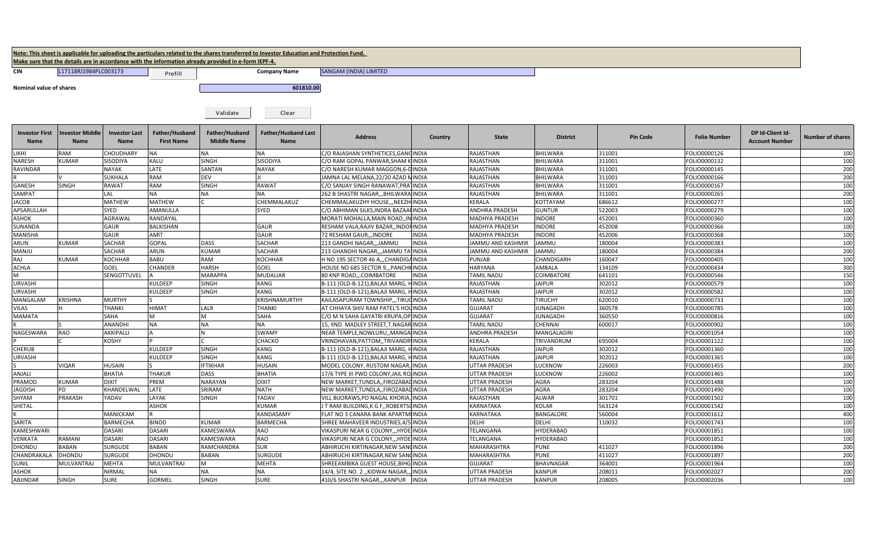|                                                                                                      |                                |                              |                                     |                                      | Note: This sheet is applicable for uploading the particulars related to the shares transferred to Investor Education and Protection Fund. |                                         |                |                       |                  |                 |                     |                                           |                         |
|------------------------------------------------------------------------------------------------------|--------------------------------|------------------------------|-------------------------------------|--------------------------------------|-------------------------------------------------------------------------------------------------------------------------------------------|-----------------------------------------|----------------|-----------------------|------------------|-----------------|---------------------|-------------------------------------------|-------------------------|
| Make sure that the details are in accordance with the information already provided in e-form IEPF-4. |                                |                              |                                     |                                      |                                                                                                                                           |                                         |                |                       |                  |                 |                     |                                           |                         |
| <b>CIN</b>                                                                                           | L17118RJ1984PLC003173          |                              | Prefill                             |                                      | <b>Company Name</b>                                                                                                                       | SANGAM (INDIA) LIMITED                  |                |                       |                  |                 |                     |                                           |                         |
| Nominal value of shares                                                                              |                                |                              |                                     |                                      | 601810.00                                                                                                                                 |                                         |                |                       |                  |                 |                     |                                           |                         |
|                                                                                                      |                                |                              |                                     |                                      |                                                                                                                                           |                                         |                |                       |                  |                 |                     |                                           |                         |
|                                                                                                      |                                |                              |                                     | Validate                             | Clear                                                                                                                                     |                                         |                |                       |                  |                 |                     |                                           |                         |
| <b>Investor First</b><br>Name                                                                        | <b>Investor Middle</b><br>Name | <b>Investor Last</b><br>Name | Father/Husband<br><b>First Name</b> | Father/Husband<br><b>Middle Name</b> | <b>Father/Husband Last</b><br>Name                                                                                                        | <b>Address</b>                          | Country        | <b>State</b>          | <b>District</b>  | <b>Pin Code</b> | <b>Folio Number</b> | DP Id-Client Id-<br><b>Account Number</b> | <b>Number of shares</b> |
| LIKHI                                                                                                | RAM                            | CHOUDHARY                    | <b>NA</b>                           | <b>NA</b>                            | <b>NA</b>                                                                                                                                 | C/O RAJASHAN SYNTHETICES, GANGINDIA     |                | RAJASTHAN             | <b>BHILWARA</b>  | 311001          | FOLIO0000126        |                                           | 100                     |
| <b>NARESH</b>                                                                                        | <b>KUMAR</b>                   | SISODIYA                     | KALU                                | <b>SINGH</b>                         | SISODIYA                                                                                                                                  | C/O RAM GOPAL PANWAR, SHAM KINDIA       |                | RAJASTHAN             | <b>BHILWARA</b>  | 311001          | FOLIO0000132        |                                           | 100                     |
| RAVINDAR                                                                                             |                                | <b>NAYAK</b>                 | LATE                                | SANTAN                               | <b>NAYAK</b>                                                                                                                              | C/O NARESH KUMAR MAGGON, 6-DINDIA       |                | RAJASTHAN             | BHILWARA         | 311001          | FOLIO0000145        |                                           | 200                     |
|                                                                                                      |                                | <b>SUKHALA</b>               | RAM                                 | DEV                                  |                                                                                                                                           | JAMNA LAL MELANA, 22/20 AZAD NINDIA     |                | <b>RAJASTHAN</b>      | BHILWARA         | 311001          | FOLIO0000166        |                                           | 200                     |
| <b>GANESH</b>                                                                                        | <b>SINGH</b>                   | <b>RAWAT</b>                 | RAM                                 | <b>SINGH</b>                         | <b>RAWAT</b>                                                                                                                              | C/O SANJAY SINGH RANAWAT, PRATINDIA     |                | RAJASTHAN             | <b>BHILWARA</b>  | 311001          | FOLIO0000167        |                                           | 100                     |
| SAMPAT                                                                                               |                                | LAL                          | <b>NA</b>                           | <b>NA</b>                            | <b>NA</b>                                                                                                                                 | 262 B SHASTRI NAGAR,,, BHILWARA INDIA   |                | RAJASTHAN             | <b>BHILWARA</b>  | 311001          | FOLIO0000265        |                                           | 200                     |
| <b>JACOB</b>                                                                                         |                                | MATHEW                       | MATHEW                              |                                      | CHEMMALAKUZ                                                                                                                               | CHEMMALAKUZHY HOUSE,,, NEEZH INDIA      |                | <b>KERALA</b>         | <b>KOTTAYAM</b>  | 686612          | FOLIO0000277        |                                           | 100                     |
| APSARULLAH                                                                                           |                                | SYED                         | AMANULLA                            |                                      | SYED                                                                                                                                      | C/O ABHIMAN SILKS, INDRA BAZAAHINDIA    |                | ANDHRA PRADESH        | <b>GUNTUR</b>    | 522003          | FOLIO0000279        |                                           | 100                     |
| <b>ASHOK</b>                                                                                         |                                | <b>AGRAWAL</b>               | RANDAYAL                            |                                      |                                                                                                                                           | MORATI MOHALLA, MAIN ROAD,,             | <b>NINDIA</b>  | <b>MADHYA PRADESH</b> | <b>INDORE</b>    | 452001          | FOLIO0000360        |                                           |                         |
| SUNANDA                                                                                              |                                | GAUR                         | BALKISHAN                           |                                      | GAUR                                                                                                                                      | RESHAM VALA, RAJIV BAZAR,, INDOFINDIA   |                | <b>MADHYA PRADESH</b> | <b>INDORE</b>    | 452008          | FOLIO0000366        |                                           | 100                     |
| <b>MANISHA</b>                                                                                       |                                | <b>GAUR</b>                  | <b>AMIT</b>                         |                                      | <b>GAUR</b>                                                                                                                               | 72 RESHAM GAUR INDORE                   | INDIA          | <b>MADHYA PRADESH</b> | <b>INDORE</b>    | 452006          | FOLIO0000368        |                                           | 100                     |
| <b>ARUN</b>                                                                                          | <b>KUMAR</b>                   | <b>SACHAR</b>                | <b>GOPAL</b>                        | DASS                                 | <b>SACHAR</b>                                                                                                                             | 213 GANDHI NAGAR,,,JAMMU                | <b>INDIA</b>   | JAMMU AND KASHMIR     | <b>JAMMU</b>     | 180004          | FOLIO0000383        |                                           |                         |
| MANJU                                                                                                |                                | <b>SACHAR</b>                | ARUN                                | KUMAR                                | <b>SACHAR</b>                                                                                                                             | 213 GHANDHI NAGAR,,,JAMMU T             | <b>INDIA</b>   | JAMMU AND KASHMIR     | AMMU             | 180004          | FOLIO0000384        |                                           | 200                     |
| RAJ                                                                                                  | <b>KUMAR</b>                   | <b>KOCHHAR</b>               | BABU                                | RAM                                  | <b>KOCHHAR</b>                                                                                                                            | H NO 195 SECTOR 46 A,,,CHANDIG          | AINDIA         | PUNJAB                | CHANDIGARH       | 160047          | FOLIO0000405        |                                           |                         |
| <b>ACHLA</b>                                                                                         |                                | GOEL                         | CHANDER                             | HARSH                                | GOEL                                                                                                                                      | HOUSE NO 685 SECTOR 9,,, PANCHKINDIA    |                | <b>HARYANA</b>        | <b>AMBALA</b>    | 134109          | FOLIO0000434        |                                           | 300                     |
| M                                                                                                    |                                | SENGOTTUVEL                  |                                     | <b>MARAPPA</b>                       | <b>MUDALIAR</b>                                                                                                                           | 80 KNP ROADCOIMBATORE                   | INDIA          | <b>TAMIL NADU</b>     | COIMBATORE       | 641101          | FOLIO0000546        |                                           | 150                     |
| <b>URVASHI</b>                                                                                       |                                |                              | <b>KULDEEP</b>                      | <b>SINGH</b>                         | KANG                                                                                                                                      | B-111 (OLD-B-121), BALAJI MARG,         | <b>HINDIA</b>  | RAJASTHAN             | <b>JAIPUR</b>    | 302012          | FOLIO0000579        |                                           |                         |
| <b>URVASHI</b>                                                                                       |                                |                              | KULDEEP                             | <b>SINGH</b>                         | <b>KANG</b>                                                                                                                               | B-111 (OLD-B-121), BALAJI MARG,         | INDIA          | RAJASTHAN             | <b>JAIPUR</b>    | 302012          | FOLIO0000582        |                                           | 100<br>100              |
| MANGALAM                                                                                             | <b>KRISHNA</b>                 | <b>MURTHY</b>                |                                     |                                      | KRISHNAMURTHY                                                                                                                             | KAILASAPURAM TOWNSHIP,,,TIRU            | CINDIA         | TAMIL NADU            | <b>TIRUCHY</b>   | 620010          | FOLIO0000733        |                                           | 100                     |
| VILAS                                                                                                |                                | <b>THANKI</b>                | HIMAT                               | LALR                                 | <b>THANKI</b>                                                                                                                             | AT CHHAYA SHIV RAM PATEL'S HOUINDIA     |                | GUJARAT               | <b>JUNAGADH</b>  | 360578          | FOLIO0000785        |                                           | 100                     |
| <b>MAMATA</b>                                                                                        |                                | SAHA                         | м                                   | M                                    | SAHA                                                                                                                                      | C/O M N SAHA GAYATRI KRUPA, OP INDIA    |                | GUJARAT               | JUNAGADH         | 360550          | FOLIO0000816        |                                           | 100                     |
|                                                                                                      |                                | ANANDHI                      | ΝA                                  | <b>NA</b>                            | <b>NA</b>                                                                                                                                 | 15, IIND. MADLEY STREET, T.NAGAR INDIA  |                | TAMIL NADU            | <b>CHENNAI</b>   | 600017          | FOLIO0000902        |                                           |                         |
| NAGESWARA                                                                                            | <b>RAO</b>                     | AKKIPALLI                    |                                     |                                      | <b>SWAMY</b>                                                                                                                              | NEAR TEMPLE, NOWLURU,, MANGA INDIA      |                | <b>ANDHRA PRADESH</b> | MANGALAGIRI      |                 | FOLIO0001054        |                                           | 100                     |
|                                                                                                      |                                | <b>KOSHY</b>                 |                                     |                                      | CHACKO                                                                                                                                    | VRINDHAVAN, PATTOM, , TRIVANDRI INDIA   |                | <b>KERALA</b>         | TRIVANDRUM       | 695004          | FOLIO0001122        |                                           |                         |
| <b>CHERUB</b>                                                                                        |                                |                              | KULDEEP                             | <b>SINGH</b>                         | <b>KANG</b>                                                                                                                               | B-111 (OLD-B-121), BALAJI MARG,         | <b>HINDIA</b>  | RAJASTHAN             | <b>JAIPUR</b>    | 302012          | FOLIO0001360        |                                           | 100                     |
| <b>URVASHI</b>                                                                                       |                                |                              | KULDEEP                             | <b>SINGH</b>                         | KANG                                                                                                                                      | B-111 (OLD-B-121), BALAJI MARG,         |                | RAJASTHAN             | <b>JAIPUR</b>    | 302012          | FOLIO0001365        |                                           |                         |
|                                                                                                      | <b>VIQAR</b>                   | <b>HUSAIN</b>                |                                     | <b>IFTIKHAR</b>                      | <b>HUSAIN</b>                                                                                                                             | MODEL COLONY, RUSTOM NAGAR, INDIA       | HINDIA         | UTTAR PRADESH         | LUCKNOW          | 226003          | FOLIO0001455        |                                           | 100<br>200              |
| ANJALI                                                                                               |                                | <b>BHATIA</b>                | THAKUR                              | DASS                                 | <b>BHATIA</b>                                                                                                                             | 17/6 TYPE III PWD COLONY, JAIL RO INDIA |                | UTTAR PRADESH         | <b>LUCKNOW</b>   | 226002          | FOLIO0001465        |                                           | 100                     |
| PRAMOD                                                                                               | <b>KUMAR</b>                   | <b>DIXIT</b>                 | PREM                                | <b>NARAYAN</b>                       | <b>DIXIT</b>                                                                                                                              |                                         |                | <b>UTTAR PRADESH</b>  | <b>AGRA</b>      | 283204          | FOLIO0001488        |                                           |                         |
|                                                                                                      | PD                             |                              |                                     | SRIRAM                               |                                                                                                                                           | NEW MARKET, TUNDLA, , FIROZABAL INDIA   |                |                       |                  |                 |                     |                                           | 100                     |
| <b>JAGDISH</b>                                                                                       |                                | KHANDELWAL                   | LATE                                |                                      | <b>NATH</b>                                                                                                                               | NEW MARKET, TUNDLA,, FIROZABAL INDIA    |                | UTTAR PRADESH         | <b>AGRA</b>      | 283204          | FOLIO0001490        |                                           | 100                     |
| SHYAM                                                                                                | PRAKASH                        | YADAV                        | LAYAK<br><b>ASHOK</b>               | SINGH                                | YADAV                                                                                                                                     | VILL BIJORAWS, PO NAGAL KHORIA, INDIA   |                | RAJASTHAN             | <b>ALWAR</b>     | 301701          | FOLIO0001502        |                                           |                         |
| SHETAL                                                                                               |                                |                              |                                     |                                      | <b>KUMAR</b>                                                                                                                              | J T RAM BUILDING, K G F,, ROBERTSCINDIA |                | <b>KARNATAKA</b>      | <b>KOLAR</b>     | 563124          | FOLIO0001542        |                                           |                         |
|                                                                                                      |                                | <b>MANICKAM</b>              |                                     |                                      | KANDASAMY                                                                                                                                 | FLAT NO 3 CANARA BANK APARTM            | <b>IIINDIA</b> | <b>KARNATAKA</b>      | <b>BANGALORE</b> | 560004          | FOLIO0001612        |                                           | 400                     |
| SARITA                                                                                               |                                | <b>BARMECHA</b>              | <b>BINOD</b>                        | KUMAR                                | <b>BARMECHA</b>                                                                                                                           | SHREE MAHAVEER INDUSTRIES, 4            | <b>INDIA</b>   | DELHI                 | <b>DELHI</b>     | 110032          | FOLIO0001743        |                                           |                         |
| KAMESHWARI                                                                                           |                                | <b>DASARI</b>                | <b>DASARI</b>                       | KAMESWARA                            | RAO                                                                                                                                       | VIKASPURI NEAR G COLONY,,, HYDE INDIA   |                | TELANGANA             | <b>HYDERABAD</b> |                 | FOLIO0001851        |                                           | 100<br>100              |
| <b>VENKATA</b>                                                                                       | RAMANI                         | DASARI                       | DASARI                              | KAMESWARA                            | RAO                                                                                                                                       | VIKASPURI NEAR G COLONY,,, HYDE INDIA   |                | TELANGANA             | HYDERABAD        |                 | FOLIO0001852        |                                           |                         |
| <b>DHONDU</b>                                                                                        | <b>BABAN</b>                   | <b>SURGUDE</b>               | BABAN                               | RAMCHANDRA                           | SUR                                                                                                                                       | ABHIRUCHI KIRTINAGAR, NEW SANCINDIA     |                | <b>MAHARASHTRA</b>    | <b>PUNE</b>      | 411027          | FOLIO0001896        |                                           |                         |
| CHANDRAKALA                                                                                          | <b>DHONDU</b>                  | <b>SURGUDE</b>               | DHONDU                              | BABAN                                | <b>SURGUDE</b>                                                                                                                            | ABHIRUCHI KIRTINAGAR, NEW SANCINDIA     |                | MAHARASHTRA           | <b>PUNE</b>      | 411027          | FOLIO0001897        |                                           |                         |
| SUNIL                                                                                                | MULVANTRAJ                     | <b>MEHTA</b>                 | MULVANTRAJ                          |                                      | <b>MEHTA</b>                                                                                                                              | SHREEAMBIKA GUEST HOUSE, BIH            | <b>INDIA</b>   | <b>GUJARAT</b>        | BHAVNAGAR        | 364001          | FOLIO0001964        |                                           |                         |
| <b>ASHOK</b>                                                                                         |                                | NIRMAL                       | NA.                                 | <b>NA</b>                            | <b>NA</b>                                                                                                                                 | 14/4, SITE NO. 2 , KIDWAI NAGAR,        | <b>INDIA</b>   | UTTAR PRADESH         | <b>KANPUR</b>    | 208011          | FOLIO0002027        |                                           | 200                     |
| ABJINDAR                                                                                             | <b>SINGH</b>                   | <b>SURE</b>                  | GORMEL                              | <b>SINGH</b>                         | <b>SURE</b>                                                                                                                               | 410/6 SHASTRI NAGAR,,,KANPUR            | <b>INDIA</b>   | <b>UTTAR PRADESH</b>  | <b>KANPUR</b>    | 208005          | FOLIO0002036        |                                           | 100                     |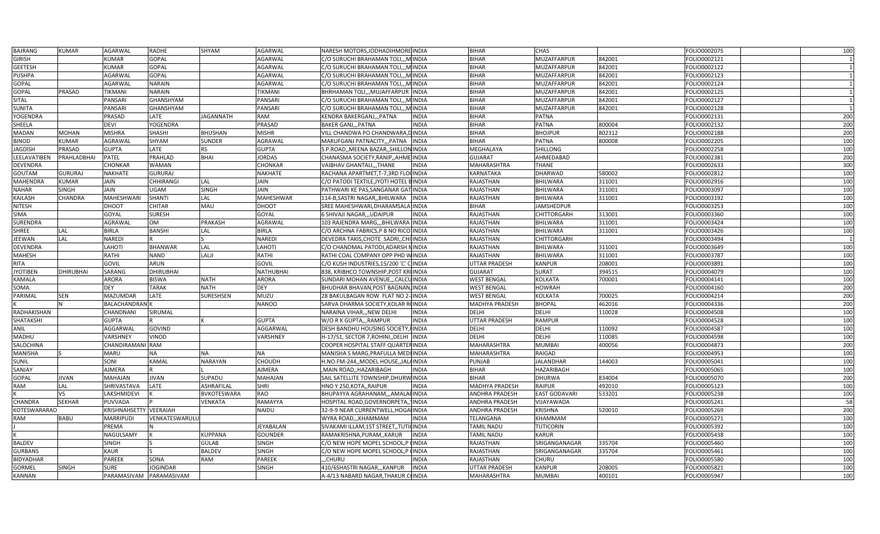| <b>BAJRANG</b>   | <b>KUMAR</b>     | AGARWAL                 | <b>RADHE</b>     | SHYAM              | AGARWAL          | NARESH MOTORS, JODHADIHMORE INDIA                   |              | <b>BIHAR</b>          | CHAS                 |        | FOLIO0002075 | 100 |
|------------------|------------------|-------------------------|------------------|--------------------|------------------|-----------------------------------------------------|--------------|-----------------------|----------------------|--------|--------------|-----|
| <b>GIRISH</b>    |                  | KUMAR                   | <b>GOPAL</b>     |                    | AGARWAL          | C/O SURUCHI BRAHAMAN TOLI,,,M INDIA                 |              | <b>BIHAR</b>          | MUZAFFARPUR          | 842001 | FOLIO0002121 |     |
| <b>GEETESH</b>   |                  | <b>KUMAR</b>            | <b>GOPAL</b>     |                    | AGARWAL          | C/O SURUCHI BRAHAMAN TOLI,,, MINDIA                 |              | <b>BIHAR</b>          | MUZAFFARPUR          | 842001 | FOLIO0002122 |     |
| PUSHPA           |                  | AGARWAL                 | <b>GOPAL</b>     |                    | AGARWAL          | C/O SURUCHI BRAHAMAN TOLI,,,MINDIA                  |              | <b>BIHAR</b>          | MUZAFFARPUR          | 842001 | FOLIO0002123 |     |
| <b>GOPAL</b>     |                  | AGARWAL                 | <b>NARAIN</b>    |                    | AGARWAL          | C/O SURUCHI BRAHAMAN TOLI,,,MINDIA                  |              | <b>BIHAR</b>          | MUZAFFARPUR          | 842001 | FOLIO0002124 |     |
| <b>GOPAL</b>     | PRASAD           | <b>TIKMANI</b>          | <b>NARAIN</b>    |                    | <b>TIKMANI</b>   | BHRHAMAN TOLI,,, MUJAFFARPUR INDIA                  |              | <b>BIHAR</b>          | MUZAFFARPUR          | 842001 | FOLIO0002125 |     |
| SITAL            |                  | PANSARI                 | <b>GHANSHYAM</b> |                    | PANSARI          | C/O SURUCHI BRAHAMAN TOLI,,, MINDIA                 |              | <b>BIHAR</b>          | MUZAFFARPUR          | 842001 | FOLIO0002127 |     |
| <b>SUNITA</b>    |                  | PANSARI                 | <b>GHANSHYAM</b> |                    | PANSARI          | C/O SURUCHI BRAHAMAN TOLI,,, MINDIA                 |              | <b>BIHAR</b>          | MUZAFFARPUR          | 842001 | FOLIO0002128 |     |
| YOGENDRA         |                  | PRASAD                  | LATE             | <b>JAGANNATH</b>   | RAM              | KENDRA BAKERGANJ,,,PATNA                            | <b>INDIA</b> | <b>BIHAR</b>          | <b>PATNA</b>         |        | FOLIO0002131 | 200 |
| SHEELA           |                  | DEVI                    | YOGENDRA         |                    | PRASAD           | <b>BAKER GANJ,,, PATNA</b>                          | <b>INDIA</b> | <b>BIHAR</b>          | <b>PATNA</b>         | 800004 | FOLIO0002132 | 200 |
| <b>MADAN</b>     | <b>MOHAN</b>     | <b>MISHRA</b>           | <b>SHASHI</b>    | <b>BHUSHAN</b>     | <b>MISHR</b>     | VILL CHANDWA PO CHANDWARA, DINDIA                   |              | <b>BIHAR</b>          | <b>BHOJPUR</b>       | 802312 | FOLIO0002188 | 200 |
| <b>BINOD</b>     | <b>KUMAR</b>     | AGRAWAI                 | SHYAM            | <b>SUNDER</b>      | AGRAWAI          | MARUFGANJ PATNACITY,,,PATNA                         | <b>INDIA</b> | <b>BIHAR</b>          | PATNA                | 800008 | FOLIO0002205 | 100 |
| <b>JAGDISH</b>   | PRASAD           | <b>GUPTA</b>            | LATE             | <b>RS</b>          | <b>GUPTA</b>     | S.P.ROAD, MEENA BAZAR, SHILLON INDIA                |              | <b>MEGHALAYA</b>      | <b>SHILLONG</b>      |        | FOLIO0002258 | 100 |
| LEELAVATIBEI     | PRAHLADBHAI      | PATEL                   | PRAHLAD          | <b>BHAI</b>        | <b>JORDAS</b>    | CHANASMA SOCIETY, RANIP,, AHME INDIA                |              | <b>GUJARAT</b>        | AHMEDABAD            |        | FOLIO0002381 | 200 |
| <b>DEVENDRA</b>  |                  | CHONKAR                 | <b>WAMAN</b>     |                    | CHONKAR          | VAIBHAV GHANTALI,,,THANE                            | <b>INDIA</b> | MAHARASHTRA           | <b>THANE</b>         |        | FOLIO0002633 | 300 |
| GOUTAM           | <b>GURURAJ</b>   | <b>NAKHATE</b>          | <b>GURURAJ</b>   |                    | NAKHATE          | RACHANA APARTMET, T-7, 3RD FLOUNDIA                 |              | KARNATAKA             | <b>DHARWAD</b>       | 580002 | FOLIO0002812 | 100 |
| MAHENDRA         | <b>KUMAR</b>     | JAIN                    | <b>CHHIRANGI</b> | LAL                | JAIN             | C/O PATODI TEXTILE, JYOTI HOTEL BINDIA              |              | RAJASTHAN             | BHILWARA             | 311001 | FOLIO0002916 | 100 |
| <b>NAHAR</b>     | <b>SINGH</b>     | JAIN                    | <b>UGAM</b>      | <b>SINGH</b>       | JAIN             | PATHWARI KE PAS, SANGANAR GAT INDIA                 |              | RAJASTHAN             | BHILWARA             | 311001 | FOLIO0003097 | 100 |
| <b>KAILASH</b>   | CHANDRA          | MAHESHWARI              | <b>SHANTI</b>    | LAL                | MAHESHWAR        | 114-B, SASTRI NAGAR, , BHILWARA                     | <b>INDIA</b> | RAJASTHAN             | BHILWARA             | 311001 | FOLIO0003192 | 100 |
| <b>NITESH</b>    |                  | <b>DHOOT</b>            | <b>CHITAR</b>    | MAU                | DHOOT            | SREE MAHESHWARI, DHARAMSALA INDIA                   |              | <b>BIHAR</b>          | JAMSHEDPUR           |        | FOLIO0003253 | 100 |
| SIMA             |                  | GOYAL                   | <b>SURESH</b>    |                    | GOYAL            | 6 SHIVAJI NAGAR,,,UDAIPUR                           | <b>INDIA</b> | <b>RAJASTHAN</b>      | CHITTORGARH          | 313001 | FOLIO0003360 | 100 |
| <b>SURENDRA</b>  |                  | AGRAWAL                 | OM               | <b>PRAKASH</b>     | AGRAWAL          | 103 RAJENDRA MARG., BHILWARA INDIA                  |              | <b>RAJASTHAN</b>      | <b>BHILWARA</b>      | 311001 | FOLIO0003424 | 100 |
| <b>SHREE</b>     | LAL              | BIRLA                   | <b>BANSHI</b>    | LAL                | BIRLA            | C/O ARCHNA FABRICS, P B NO RICO INDIA               |              | RAJASTHAN             | BHILWARA             | 311001 | FOLIO0003426 | 100 |
|                  |                  | <b>NAREDI</b>           |                  |                    | NAREDI           | DEVEDRA TAKIS, CHOTE SADRI, CHI INDIA               |              |                       |                      |        | FOLIO0003494 |     |
| JEEWAN           | LAL              |                         |                  | LAL                |                  |                                                     |              | RAJASTHAN             | CHITTORGARH          |        |              | 100 |
| <b>DEVENDRA</b>  |                  | LAHOTI                  | <b>BHANWAR</b>   |                    | LAHOTI           | C/O CHANDMAL PATODI, ADARSH NINDIA                  |              | <b>RAJASTHAN</b>      | <b>BHILWARA</b>      | 311001 | FOLIO0003649 |     |
| <b>MAHESH</b>    |                  | RATHI                   | <b>NAND</b>      | LALJI              | RATHI            | RATHI COAL COMPANY OPP PHD WINDIA                   |              | RAJASTHAN             | <b>BHILWARA</b>      | 311001 | FOLIO0003787 | 100 |
| <b>RITA</b>      |                  | <b>GOVIL</b>            | ARUN             |                    | <b>GOVIL</b>     | C/O KUSH INDUSTRIES,15/200 'C' C <mark>INDIA</mark> |              | UTTAR PRADESH         | <b>KANPUR</b>        | 208001 | FOLIO0003891 | 100 |
| <b>JYOTIBEN</b>  | <b>DHIRUBHAI</b> | SARANG                  | <b>DHIRUBHAI</b> |                    | <b>NATHUBHAI</b> | 838, KRIBHCO TOWNSHIP, POST KRIINDIA                |              | <b>GUJARAT</b>        | <b>SURAT</b>         | 394515 | FOLIO0004079 | 100 |
| <b>KAMALA</b>    |                  | ARORA                   | <b>BISWA</b>     | <b>NATH</b>        | ARORA            | SUNDARI MOHAN AVENUE,,,CALCUINDIA                   |              | <b>WEST BENGAL</b>    | <b>KOLKATA</b>       | 700001 | FOLIO0004141 | 100 |
| SOMA             |                  | <b>DEY</b>              | <b>TARAK</b>     | <b>NATH</b>        | DEY              | BHUDHAR BHAVAN, POST BAGNAN, INDIA                  |              | <b>WEST BENGAL</b>    | <b>HOWRAH</b>        |        | FOLIO0004160 | 200 |
| PARIMAL          | <b>SEN</b>       | MAZUMDAR                | LATE             | SURESHSEN          | MUZU             | 28 BAKULBAGAN ROW FLAT NO 2-INDIA                   |              | <b>WEST BENGAL</b>    | <b>KOLKATA</b>       | 700025 | FOLIO0004214 | 200 |
|                  |                  | BALACHANDRAI            |                  |                    | NANOO            | SARVA DHARMA SOCIETY, KOLAR ROINDIA                 |              | <b>MADHYA PRADESH</b> | <b>BHOPAL</b>        | 462016 | FOLIO0004336 | 200 |
| RADHAKISHAN      |                  | CHANDNANI               | SIRUMAL          |                    |                  | NARAINA VIHAR,,,NEW DELHI                           | <b>INDIA</b> | DELHI                 | DELHI                | 110028 | FOLIO0004508 | 100 |
| SHATAKSHI        |                  | <b>GUPTA</b>            |                  |                    | <b>GUPTA</b>     | W/O R K GUPTA,,, RAMPUR                             | <b>INDIA</b> | UTTAR PRADESH         | <b>RAMPUR</b>        |        | FOLIO0004528 | 100 |
| ANIL             |                  | AGGARWAL                | <b>GOVIND</b>    |                    | AGGARWAL         | DESH BANDHU HOUSING SOCIETY, FINDIA                 |              | DELHI                 | DELHI                | 110092 | FOLIO0004587 | 100 |
| <b>MADHU</b>     |                  | VARSHNEY                | <b>VINOD</b>     |                    | VARSHNEY         | H-17/51, SECTOR 7, ROHINI, DELHI INDIA              |              | DELHI                 | DELHI                | 110085 | FOLIO0004598 | 100 |
| SALOCHINA        |                  | CHANDIRAMANI RAM        |                  |                    |                  | COOPER HOSPITAL STAFF QUARTERINDIA                  |              | MAHARASHTRA           | <b>MUMBAI</b>        | 400056 | FOLIO0004873 | 200 |
| MANISHA          |                  | <b>MARU</b>             | <b>NA</b>        | <b>NA</b>          | <b>NA</b>        | MANISHA S MARG, PRAFULLA MEDI INDIA                 |              | MAHARASHTRA           | RAIGAD               |        | FOLIO0004953 | 100 |
| <b>SUNIL</b>     |                  | SONI                    | <b>KAMAI</b>     | <b>NARAYAN</b>     | CHOUDH           | H.NO.FM-244,,MODEL HOUSE,,JALAINDIA                 |              | <b>PUNJAB</b>         | <b>JALANDHAR</b>     | 144003 | FOLIO0005041 | 100 |
| SANJAY           |                  | AJMERA                  |                  |                    | AJMERA           | MAIN ROAD,, HAZARIBAGH                              | <b>INDIA</b> | <b>BIHAR</b>          | HAZARIBAGH           |        | FOLIO0005065 | 100 |
| <b>GOPAL</b>     | <b>JIVAN</b>     | MAHAJAN                 | <b>JIVAN</b>     | SUPADU             | MAHAJAN          | SAIL SATELLITE TOWNSHIP, DHURWINDIA                 |              | <b>BIHAR</b>          | <b>DHURWA</b>        | 834004 | FOLIO0005070 | 200 |
| RAM              | LAL              | SHRIVASTAVA             | LATE             | <b>ASHRAFILAL</b>  | SHRI             | HNO Y 250, KOTA,, RAIPUR                            | <b>INDIA</b> | MADHYA PRADESH        | <b>RAIPUR</b>        | 492010 | FOLIO0005123 | 100 |
|                  | VS               | LAKSHMIDEVI             |                  | <b>BVKOTESWARA</b> | RAO              | BHUPAYYA AGRAHANAM,,,AMALAFINDIA                    |              | ANDHRA PRADESH        | <b>EAST GODAVARI</b> | 533201 | FOLIO0005238 | 100 |
| <b>CHANDRA</b>   | <b>SEKHAR</b>    | PUVVADA                 |                  | <b>VENKATA</b>     | RAMAYYA          | HOSPITAL ROAD,GOVERNORPETA,, IINDIA                 |              | <b>ANDHRA PRADESH</b> | VIJAYAWADA           |        | FOLIO0005241 | 58  |
| KOTESWARARAO     |                  | KRISHNAHSETTY VEERAIAH  |                  |                    | NAIDU            | 32-9-9 NEAR CURRENTWELL, HOGALINDIA                 |              | ANDHRA PRADESH        | <b>KRISHNA</b>       | 520010 | FOLIO0005269 | 200 |
| RAM              | <b>BABU</b>      | <b>MARRIPUDI</b>        | VENKATESWARULL   |                    |                  | WYRA ROAD,,, KHAMMAM                                | <b>INDIA</b> | TELANGANA             | <b>KHAMMAM</b>       |        | FOLIO0005271 | 100 |
|                  |                  | PREMA                   |                  |                    | <b>JEYABALAN</b> | SIVAKAMI ILLAM, 1ST STREET, , TUTIQINDIA            |              | TAMIL NADU            | <b>TUTICORIN</b>     |        | FOLIO0005392 | 100 |
|                  |                  | NAGULSAMY               |                  | <b>KUPPANA</b>     | GOUNDER          | RAMAKRISHNA, PURAM, , KARUR                         | <b>INDIA</b> | <b>TAMIL NADU</b>     | <b>KARUR</b>         |        | FOLIO0005438 | 100 |
| <b>BALDEV</b>    |                  | <b>SINGH</b>            |                  | <b>GULAB</b>       | SINGH            | C/O NEW HOPE MOPEL SCHOOL,P                         | <b>INDIA</b> | RAJASTHAN             | SRIGANGANAGAR        | 335704 | FOLIO0005460 | 100 |
| <b>GURBANS</b>   |                  | <b>KAUR</b>             |                  | <b>BALDEV</b>      | <b>SINGH</b>     | C/O NEW HOPE MOPEL SCHOOL,P (INDIA                  |              | <b>RAJASTHAN</b>      | SRIGANGANAGAR        | 335704 | FOLIO0005461 | 100 |
| <b>BIDYADHAR</b> |                  | PAREEK                  | SONA             | <b>RAM</b>         | PAREEK           | .CHURU                                              | <b>INDIA</b> | RAJASTHAN             | CHURU                |        | FOLIO0005580 | 100 |
| GORMEL           | <b>SINGH</b>     | SURE                    | <b>JOGINDAR</b>  |                    | SINGH            | 410/6SHASTRI NAGAR,,,KANPUR                         | <b>INDIA</b> | <b>UTTAR PRADESH</b>  | <b>KANPUR</b>        | 208005 | FOLIO0005821 | 100 |
| <b>KANNAN</b>    |                  | PARAMASIVAM PARAMASIVAM |                  |                    |                  | A-4/13 NABARD NAGAR, THAKUR COINDIA                 |              | MAHARASHTRA           | <b>MUMBAI</b>        | 400101 | FOLIO0005947 | 100 |
|                  |                  |                         |                  |                    |                  |                                                     |              |                       |                      |        |              |     |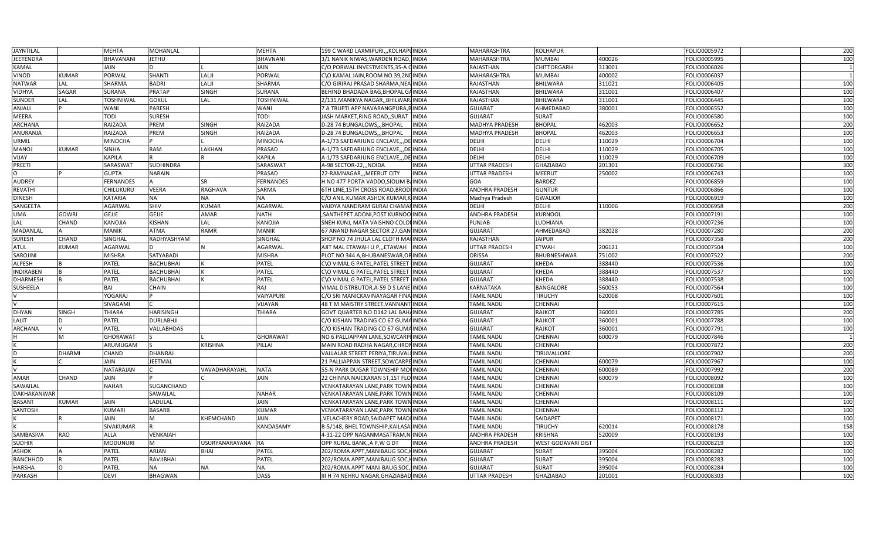| <b>JAYNTILAL</b> |               | <b>MEHTA</b>     | MOHANLAL         |                | <b>MEHTA</b>     | 199 C WARD LAXMIPURI,,,KOLHAPUINDIA   |               | MAHARASHTRA           | <b>KOLHAPUR</b>           |        | FOLIO0005972 | 200 |
|------------------|---------------|------------------|------------------|----------------|------------------|---------------------------------------|---------------|-----------------------|---------------------------|--------|--------------|-----|
| JEETENDRA        |               | <b>BHAVANANI</b> | JETHU            |                | <b>BHAVNANI</b>  | 3/1 NANIK NIWAS,WARDEN ROAD,          | INDIA         | MAHARASHTRA           | <b>MUMBAI</b>             | 400026 | FOLIO0005995 | 100 |
| KAMAL            |               | <b>JAIN</b>      |                  |                | <b>JAIN</b>      | C/O PORWAL INVESTMENTS, 35-A CINDIA   |               | RAJASTHAN             | CHITTORGARH               | 313001 | FOLIO0006026 |     |
| VINOD            | KUMAR         | PORWAL           | SHANTI           | LALJI          | PORWAL           | C\O KAMAL JAIN, ROOM NO.39, 2NUINDIA  |               | MAHARASHTRA           | <b>MUMBAI</b>             | 400002 | FOLIO0006037 |     |
| <b>NATWAR</b>    | LAL           | <b>SHARMA</b>    | <b>BADRI</b>     | LALJI          | <b>SHARMA</b>    | C/O GIRIRAJ PRASAD SHARMA,NEA INDIA   |               | RAJASTHAN             | <b>BHILWARA</b>           | 311021 | FOLIO0006405 | 100 |
| <b>VIDHYA</b>    | SAGAR         | <b>SURANA</b>    | <b>PRATAP</b>    | <b>SINGH</b>   | <b>SURANA</b>    | BEHIND BHADADA BAG, BHOPAL GAINDIA    |               | RAJASTHAN             | <b>BHILWARA</b>           | 311001 | FOLIO0006407 | 100 |
| SUNDER           | LAL           | <b>TOSHNIWAL</b> | <b>GOKUL</b>     | LAL            | <b>TOSHNIWAL</b> | 2/135,MANIKYA NAGAR,,BHILWAR/INDIA    |               | RAJASTHAN             | <b>BHILWARA</b>           | 311001 | FOLIO0006445 | 100 |
| ANJALI           |               | <b>WANI</b>      | PARESH           |                | <b>WANI</b>      | 7 A TRUPTI APP NAVARANGPURA, I        | <b>BINDIA</b> | <b>GUJARAT</b>        | AHMEDABAD                 | 380001 | FOLIO0006552 | 100 |
| MEERA            |               | TODI             | <b>SURESH</b>    |                | TODI             | JASH MARKET, RING ROAD, , SURAT       | <b>INDIA</b>  | <b>GUJARAT</b>        | <b>SURAT</b>              |        | FOLIO0006580 | 100 |
| ARCHANA          |               | <b>RAIZADA</b>   | PREM             | <b>SINGH</b>   | RAIZADA          | D-28 74 BUNGALOWSBHOPAL               | INDIA         | <b>MADHYA PRADESH</b> | <b>BHOPAL</b>             | 462003 | FOLIO0006652 | 200 |
| ANURANJA         |               | <b>RAIZADA</b>   | PREM             | <b>SINGH</b>   | <b>RAIZADA</b>   | D-28 74 BUNGALOWS,,,BHOPAL            | INDIA         | <b>MADHYA PRADESH</b> | <b>BHOPAL</b>             | 462003 | FOLIO0006653 | 100 |
| <b>JRMIL</b>     |               | <b>MINOCHA</b>   |                  |                | <b>MINOCHA</b>   | A-1/73 SAFDARJUNG ENCLAVE,,,DE        | <b>INDIA</b>  | DELHI                 | <b>DELHI</b>              | 110029 | FOLIO0006704 | 100 |
| MANOJ            | <b>KUMAR</b>  | <b>SINHA</b>     | RAM              | LAKHAN         | PRASAD           | A-1/73 SAFDARJUNG ENCLAVE,,,DE INDIA  |               | DELHI                 | <b>DELHI</b>              | 110029 | FOLIO0006705 | 100 |
| YIJAY            |               | <b>KAPILA</b>    |                  |                | KAPILA           | A-1/73 SAFDARJUNG ENCLAVE,,,DE INDIA  |               | DELHI                 | DELHI                     | 110029 | FOLIO0006709 | 100 |
| PREETI           |               | SARASWAT         | SUDHINDRA        |                | SARASWAT         | A-98 SECTOR-22,,,NOIDA                | <b>INDIA</b>  | UTTAR PRADESH         | GHAZIABAD                 | 201301 | FOLIO0006736 | 300 |
|                  |               | <b>GUPTA</b>     | <b>NARAIN</b>    |                | PRASAD           | 22-RAMNAGAR,,,MEERUT CITY             | <b>INDIA</b>  | UTTAR PRADESH         | MEERUT                    | 250002 | FOLIO0006743 | 100 |
| <b>AUDREY</b>    |               | <b>FERNANDES</b> |                  | <b>SR</b>      | <b>FERNANDES</b> | H NO 477 PORTA VADDO, SIOLIM B/INDIA  |               | GOA                   | <b>BARDEZ</b>             |        | FOLIO0006859 | 100 |
| REVATHI          |               | CHILUKURU        | VEERA            | <b>RAGHAVA</b> | <b>SARMA</b>     | 6TH LINE,15TH CROSS ROAD,BRODHINDIA   |               | ANDHRA PRADESH        | <b>GUNTUR</b>             |        | FOLIO0006866 | 100 |
| DINESH           |               | <b>KATARIA</b>   | NA               | <b>NA</b>      | <b>NA</b>        | C/O ANIL KUMAR ASHOK KUMAR,K INDIA    |               | Madhya Pradesh        | <b>GWALIOR</b>            |        | FOLIO0006919 | 100 |
| SANGEETA         |               | <b>AGARWAL</b>   | SHIV             | <b>KUMAR</b>   | <b>AGARWAL</b>   | VAIDYA NANDRAM GIJRAJ CHAMAFINDIA     |               | DELHI                 | DELHI                     | 110006 | FOLIO0006958 | 200 |
| <b>JMA</b>       | GOWRI         | <b>GEJJE</b>     | <b>GEJJE</b>     | <b>AMAR</b>    | <b>NATH</b>      | SANTHEPET ADONI, POST KURNOO INDIA    |               | ANDHRA PRADESH        | <b>KURNOOL</b>            |        | FOLIO0007191 | 100 |
| LAL              | CHAND         | <b>KANOJIA</b>   | <b>KISHAN</b>    | LAL            | <b>KANOJIA</b>   | SNEH KUNJ, MATA VAISHNO COLO          | INDIA         | PUNJAB                | LUDHIANA                  |        | FOLIO0007236 | 100 |
| MADANLAL         |               | <b>MANIK</b>     | <b>ATMA</b>      | <b>RAMR</b>    | <b>MANIK</b>     | 67 ANAND NAGAR SECTOR 27,GAN INDIA    |               | <b>GUJARAT</b>        | AHMEDABAD                 | 382028 | FOLIO0007280 | 200 |
| SURESH           | CHAND         | SINGHAL          | RADHYASHYAM      |                | SINGHAL          | SHOP NO 74 JHULA LAL CLOTH MAHINDIA   |               | RAJASTHAN             | <b>JAIPUR</b>             |        | FOLIO0007358 | 200 |
| ATUL             | <b>KUMAR</b>  | <b>AGARWAL</b>   |                  | N              | <b>AGARWAL</b>   | AJIT MAL ETAWAH U P.,,ETAWAH          | <b>INDIA</b>  | UTTAR PRADESH         | <b>ETWAH</b>              | 206121 | FOLIO0007504 | 100 |
| SAROJINI         |               | <b>MISHRA</b>    | SATYABADI        |                | <b>MISHRA</b>    | PLOT NO 344 A, BHUBANESWAR, OF        | INDIA         | ORISSA                | BHUBNESHWAR               | 751002 | FOLIO0007522 | 200 |
| ALPESH           |               | PATEL            | <b>BACHUBHAI</b> |                | PATEL            | C\O VIMAL G PATEL, PATEL STREET       | <b>INDIA</b>  | <b>GUJARAT</b>        | <b>KHEDA</b>              | 388440 | FOLIO0007536 | 100 |
| <b>INDIRABEN</b> |               | <b>PATEL</b>     | <b>BACHUBHAI</b> |                | PATEL            | C\O VIMAL G PATEL, PATEL STREET       | <b>INDIA</b>  | <b>GUJARAT</b>        | <b>KHEDA</b>              | 388440 | FOLIO0007537 | 100 |
| <b>DHARMESH</b>  |               | PATEL            | <b>BACHUBHAI</b> |                | PATEL            | C\O VIMAL G PATEL, PATEL STREET       | <b>INDIA</b>  | <b>GUJARAT</b>        | <b>KHEDA</b>              | 388440 | FOLIO0007538 | 100 |
| SUSHEELA         |               | BAI              | <b>CHAIN</b>     |                | RAJ              | VIMAL DISTRBUTOR, A-59 D S LANE INDIA |               | KARNATAKA             | <b>BANGALORE</b>          | 560053 | FOLIO0007564 | 100 |
|                  |               | YOGARAJ          |                  |                | VAIYAPURI        | C/O SRI MANICKAVINAYAGAR FINA INDIA   |               | TAMIL NADU            | <b>TIRUCHY</b>            | 620008 | FOLIO0007601 | 100 |
|                  |               | SIVAGAMI         |                  |                | VIJAYAN          | 48 T M MAISTRY STREET, VANNANT        | <b>INDIA</b>  | TAMIL NADU            | CHENNAI                   |        | FOLIO0007615 | 100 |
| DHYAN            | <b>SINGH</b>  | <b>THIARA</b>    | <b>HARISINGH</b> |                | <b>THIARA</b>    | GOVT QUARTER NO.D142 LAL BAHAINDIA    |               | <b>GUJARAT</b>        | RAJKOT                    | 360001 | FOLIO0007785 | 200 |
| LALIT            |               | <b>PATEL</b>     | <b>DURLABHJI</b> |                |                  | C/O KISHAN TRADING CO 67 GUMA INDIA   |               | <b>GUJARAT</b>        | <b>RAJKOT</b>             | 360001 | FOLIO0007788 | 100 |
| ARCHANA          |               | PATEL            | VALLABHDAS       |                |                  | C/O KISHAN TRADING CO 67 GUMA INDIA   |               | <b>GUJARAT</b>        | <b>RAJKOT</b>             | 360001 | FOLIO0007791 | 100 |
|                  | M             | <b>GHORAWAT</b>  |                  |                | <b>GHORAWAT</b>  | NO 6 PALLIAPPAN LANE,SOWCARPHINDIA    |               | TAMIL NADU            | CHENNAI                   | 600079 | FOLIO0007846 |     |
|                  |               | ARUMUGAM         |                  | <b>KRISHNA</b> | PILLAI           | MAIN ROAD RADHA NAGAR, CHRONINDIA     |               | TAMIL NADU            | CHENNAI                   |        | FOLIO0007872 | 200 |
|                  | <b>DHARMI</b> | <b>CHAND</b>     | <b>DHANRAJ</b>   |                |                  | VALLALAR STREET PERIYA,TIRUVALI INDIA |               | TAMIL NADU            | TIRUVALLORE               |        | FOLIO0007902 | 200 |
|                  |               | <b>JAIN</b>      | JEETMAL          |                |                  | 21 PALLIAPPAN STREET, SOWCARPI        | <b>INDIA</b>  | TAMIL NADU            | CHENNAI                   | 600079 | FOLIO0007967 | 100 |
|                  |               | NATARAJAN        |                  | VAVADHARAYAHL  | <b>NATA</b>      | 55-N PARK DUGAR TOWNSHIP MOUNDIA      |               | TAMIL NADU            | CHENNAI                   | 600089 | FOLIO0007992 | 200 |
| AMAR             | CHAND         | <b>JAIN</b>      |                  |                | <b>JAIN</b>      | 22 CHINNA NAICKARAN ST,1ST FLO INDIA  |               | TAMIL NADU            | CHENNAI                   | 600079 | FOLIO0008092 | 100 |
| SAWAILAL         |               | <b>NAHAR</b>     | SUGANCHAND       |                |                  | VENKATARAYAN LANE,PARK TOWN INDIA     |               | TAMIL NADU            | CHENNAI                   |        | FOLIO0008108 | 100 |
| DAKHAKANWAR      |               |                  | SAWAILAL         |                | <b>NAHAR</b>     | VENKATARAYAN LANE,PARK TOWN INDIA     |               | TAMIL NADU            | CHENNAI                   |        | FOLIO0008109 | 100 |
|                  |               | <b>JAIN</b>      | LADULAL          |                | <b>JAIN</b>      |                                       |               |                       | <b>CHENNAI</b>            |        |              | 100 |
| <b>BASANT</b>    | KUMAR         |                  |                  |                |                  | VENKATARAYAN LANE,PARK TOWN INDIA     |               | TAMIL NADU            |                           |        | FOLIO0008111 |     |
| SANTOSH          |               | <b>KUMARI</b>    | <b>BASARB</b>    |                | <b>KUMAR</b>     | VENKATARAYAN LANE,PARK TOWN INDIA     |               | TAMIL NADU            | CHENNAI                   |        | FOLIO0008112 | 100 |
|                  |               | <b>JAIN</b>      | М                | KHEMCHAND      | <b>JAIN</b>      | VELACHERY ROAD, SAIDAPET MADI INDIA   |               | TAMIL NADU            | SAIDAPET                  |        | FOLIO0008171 | 100 |
|                  |               | <b>SIVAKUMAR</b> |                  |                | KANDASAMY        | B-5/148, BHEL TOWNSHIP, KAILASA INDIA |               | TAMIL NADU            | <b>TIRUCHY</b>            | 620014 | FOLIO0008178 | 158 |
| SAMBASIVA        | <b>RAO</b>    | <b>ALLA</b>      | VENKAIAH<br>M    |                |                  | 4-31-22 OPP NAGANMASATRAM,N           | <b>INDIA</b>  | ANDHRA PRADESH        | <b>KRISHNA</b>            | 520009 | FOLIO0008193 | 100 |
| SUDHIR           |               | <b>MODUNURI</b>  |                  | USURYANARAYANA | <b>RA</b>        | OPP RURAL BANK,,A P,W G D'            | <b>INDIA</b>  | ANDHRA PRADESH        | <b>WEST GODAVARI DIST</b> |        | FOLIO0008219 | 100 |
| <b>ASHOK</b>     |               | <b>PATEL</b>     | ARJAN            | <b>BHAI</b>    | PATEL            | 202/ROMA APPT, MANIBAUG SOC           | <b>INDIA</b>  | <b>GUJARAT</b>        | <b>SURAT</b>              | 395004 | FOLIO0008282 | 100 |
| RANCHHOD         |               | PATEL            | RAVJIBHAI        |                | PATEL            | 202/ROMA APPT,MANIBAUG SOC            | INDIA         | <b>GUJARAT</b>        | <b>SURAT</b>              | 395004 | FOLIO0008283 | 100 |
| HARSHA           |               | <b>PATEL</b>     | <b>NA</b>        | <b>NA</b>      | <b>NA</b>        | 202/ROMA APPT MANI BAUG SOC, IINDIA   |               | <b>GUJARAT</b>        | <b>SURAT</b>              | 395004 | FOLIO0008284 | 100 |
| PARKASH          |               | <b>DEVI</b>      | <b>BHAGWAN</b>   |                | <b>DASS</b>      | III H 74 NEHRU NAGAR,GHAZIABAD INDIA  |               | UTTAR PRADESH         | <b>GHAZIABAD</b>          | 201001 | FOLIO0008303 | 100 |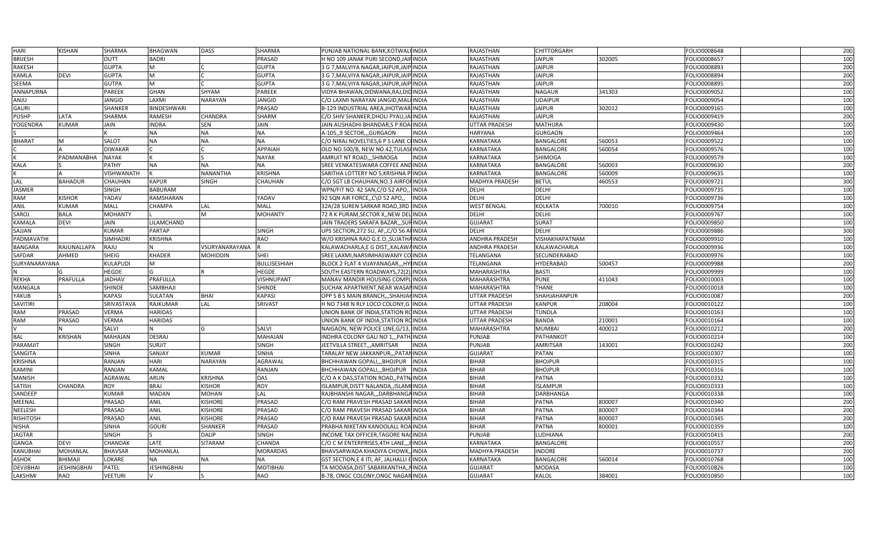| HARI             | <b>KISHAN</b>      | <b>SHARMA</b>     | <b>BHAGWAN</b>     | <b>DASS</b>     | SHARMA          | PUNJAB NATIONAL BANK, KOTWALI INDIA            | RAJASTHAN             | <b>CHITTORGARH</b> |        | FOLIO0008648 | 200 |
|------------------|--------------------|-------------------|--------------------|-----------------|-----------------|------------------------------------------------|-----------------------|--------------------|--------|--------------|-----|
| <b>BRIJESH</b>   |                    | <b>DUTT</b>       | <b>BADRI</b>       |                 | PRASAD          | H NO 109 JANAK PURI SECOND, JAIHINDIA          | RAJASTHAN             | <b>JAIPUR</b>      | 302005 | FOLIO0008657 | 100 |
| <b>RAKESH</b>    |                    | <b>GUPTA</b>      | M                  |                 | <b>GUPTA</b>    | 3 G 7,MALVIYA NAGAR,JAIPUR,JAIP INDIA          | RAJASTHAN             | <b>JAIPUR</b>      |        | FOLIO0008893 | 200 |
| KAMLA            | <b>DEVI</b>        | <b>GUPTA</b>      | M                  |                 | <b>GUPTA</b>    | 3 G 7,MALVIYA NAGAR,JAIPUR,JAIP INDIA          | RAJASTHAN             | <b>JAIPUR</b>      |        | FOLIO0008894 | 200 |
| SEEMA            |                    | <b>GUTPA</b>      | M                  |                 | <b>GUPTA</b>    | 3 G 7,MALVIYA NAGAR,JAIPUR,JAIP INDIA          | <b>RAJASTHAN</b>      | <b>JAIPUR</b>      |        | FOLIO0008895 | 200 |
| ANNAPURNA        |                    | <b>PAREEK</b>     | <b>GHAN</b>        | SHYAM           | PAREEK          | VIDYA BHAWAN,DIDWANA,RAJ,DIDINDIA              | RAJASTHAN             | <b>NAGAUR</b>      | 341303 | FOLIO0009052 | 100 |
| <b>ANJU</b>      |                    | <b>JANGID</b>     | LAXMI              | <b>NARAYAN</b>  | <b>JANGID</b>   | C/O LAXMI NARAYAN JANGID,MALI INDIA            | RAJASTHAN             | <b>UDAIPUR</b>     |        | FOLIO0009054 | 100 |
| <b>GAURI</b>     |                    | <b>SHANKER</b>    | <b>BINDESHWARI</b> |                 | PRASAD          | B-129 INDUSTRIAL AREA, JHOTWAR INDIA           | RAJASTHAN             | <b>JAIPUR</b>      | 302012 | FOLIO0009165 | 100 |
| <b>PUSHP</b>     | LATA               | <b>SHARMA</b>     | <b>RAMESH</b>      | CHANDRA         | SHARM           | C/O SHIV SHANKER, DHOLI PYAU, JAHNDIA          | RAJASTHAN             | <b>JAIPUR</b>      |        | FOLIO0009419 | 200 |
| <b>YOGENDRA</b>  | <b>KUMAR</b>       | <b>JAIN</b>       | <b>INDRA</b>       | <b>SEN</b>      | <b>JAIN</b>     | JAIN AUSHADHI BHANDAR,S P ROAIINDIA            | UTTAR PRADESH         | <b>MATHURA</b>     |        | FOLIO0009430 | 100 |
|                  |                    |                   | <b>NA</b>          | <b>NA</b>       | <b>NA</b>       | A-105,,9 SECTOR,,,GURGAON<br><b>INDIA</b>      | <b>HARYANA</b>        | <b>GURGAON</b>     |        | FOLIO0009464 | 100 |
| <b>BHARAT</b>    |                    | <b>SALOT</b>      | <b>NA</b>          | <b>NA</b>       | <b>NA</b>       | C/O NIRAJ NOVELTIES,6 P S LANE CHINDIA         | KARNATAKA             | <b>BANGALORI</b>   | 560053 | FOLIO0009522 | 100 |
|                  |                    | <b>DIWAKAR</b>    |                    |                 | ΑΡΡΑΙΑΗ         | OLD NO.500/B, NEW NO.42, TULASI INDIA          | KARNATAKA             | <b>BANGALORE</b>   | 560054 | FOLIO0009576 | 100 |
|                  | PADMANABHA         | <b>NAYAK</b>      |                    |                 | <b>NAYAK</b>    | AMRUIT NT ROAD,,,SHIMOGA<br><b>INDIA</b>       | KARNATAKA             | SHIMOGA            |        | FOLIO0009579 | 100 |
| KALA             |                    | <b>PATHY</b>      | <b>NA</b>          | <b>NA</b>       | <b>NA</b>       | SREE VENKATESWARA COFFEE AND INDIA             | KARNATAKA             | <b>BANGALORE</b>   | 560003 | FOLIO0009630 | 200 |
|                  |                    | <b>VISHWANATH</b> |                    | <b>NANANTHA</b> | KRISHNA         | SARITHA LOTTERY NO 5, KRISHNA PHNDIA           | KARNATAKA             | <b>BANGALORE</b>   | 560009 | FOLIO0009635 | 100 |
| LAL              | <b>BAHADUR</b>     | CHAUHAN           | <b>KAPUR</b>       | <b>SINGH</b>    | CHAUHAN         | C/O SGT LB CHAUHAN,NO.3 AIRFOI INDIA           | MADHYA PRADESH        | <b>BETUL</b>       | 460553 | FOLIO0009721 | 300 |
| <b>JASMER</b>    |                    | <b>SINGH</b>      | <b>BABURAM</b>     |                 |                 | WPN/FIT NO. 42 SAN, C/O 52 APO,, INDIA         | DELHI                 | <b>DELHI</b>       |        | FOLIO0009735 | 100 |
| RAM              | <b>KISHOR</b>      | YADAV             | RAMSHARAN          |                 | YADAV           | 92 SQN AIR FORCE,,C\O 52 APO,,<br><b>INDIA</b> | DELHI                 | DELHI              |        | FOLIO0009736 | 100 |
| ANIL             | <b>KUMAR</b>       | <b>MALL</b>       | <b>CHAMPA</b>      | LAL             | MALL            | 32A/28 SUREN SARKAR ROAD, 3RD INDIA            | <b>WEST BENGAL</b>    | <b>KOLKATA</b>     | 700010 | FOLIO0009754 | 100 |
| SAROJ            | <b>BALA</b>        | <b>MOHANTY</b>    |                    | <b>M</b>        | <b>MOHANTY</b>  | 72 R K PURAM, SECTOR X, , NEW DELINDIA         | <b>DELHI</b>          | DELHI              |        | FOLIO0009767 | 100 |
| <b>KAMALA</b>    | <b>DEVI</b>        | <b>JAIN</b>       | LILAMCHAND         |                 |                 | JAIN TRADERS SARAFA BAZAR,,,SUFINDIA           | <b>GUJARAT</b>        | <b>SURAT</b>       |        | FOLIO0009850 | 100 |
| SAJJAN           |                    | <b>KUMAR</b>      | <b>PARTAP</b>      |                 | <b>SINGH</b>    | UPS SECTION,272 SU, AF,,C/O 56 AHNDIA          | DELHI                 | <b>DELHI</b>       |        | FOLIO0009886 | 300 |
| PADMAVATHI       |                    | <b>SIMHADRI</b>   | <b>KRISHNA</b>     |                 | RAO             | W/O KRISHNA RAO G.E.O., SUJATHA INDIA          | <b>ANDHRA PRADESH</b> | VISHAKHAPATNAM     |        | FOLIO0009910 | 100 |
| BANGARA          | RAJUNALLAPA        | RAJU              |                    | VSURYANARAYANA  |                 | KALAWACHARLA, E G DIST,, KALAWA INDIA          | ANDHRA PRADESH        | KALAWACHARLA       |        | FOLIO0009936 | 100 |
| SAFDAR           | AHMED              | <b>SHEIG</b>      | <b>KHADER</b>      | <b>MOHIDDIN</b> | SHEI            | SREE LAXMI, NARSIMHASWAMY CO INDIA             | TELANGANA             | SECUNDERABAD       |        | FOLIO0009976 | 100 |
| SURYANARAYANA    |                    | <b>KULAPUDI</b>   | M                  |                 | BULLISESHIAH    | BLOCK 2 FLAT 4 VIJAYANAGAR,,,HYIINDIA          | TELANGANA             | HYDERABAD          | 500457 | FOLIO0009988 | 200 |
|                  |                    | <b>HEGDE</b>      | G                  |                 | HEGDE           | SOUTH EASTERN ROADWAYS, 72(2), INDIA           | MAHARASHTRA           | <b>BASTI</b>       |        | FOLIO0009999 | 100 |
| <b>REKHA</b>     | PRAFULLA           | <b>JADHAV</b>     | <b>PRAFULLA</b>    |                 | VISHNUPANT      | MANAV MANDIR HOUSING COMPLINDIA                | MAHARASHTRA           | <b>PUNE</b>        | 411043 | FOLIO0010003 | 100 |
| MANGALA          |                    | <b>SHINDE</b>     | SAMBHAJI           |                 | SHINDE          | SUCHAK APARTMENT, NEAR WASAN INDIA             | MAHARASHTRA           | <b>THANE</b>       |        | FOLIO0010018 | 100 |
| YAKUB            |                    | <b>KAPASI</b>     | <b>SULATAN</b>     | <b>BHAI</b>     | KAPASI          | OPP S B S MAIN BRANCH,,,SHAHJAHINDIA           | UTTAR PRADESH         | SHAHJAHANPUR       |        | FOLIO0010087 | 200 |
| SAVITIRI         |                    | SRIVASTAVA        | RAJKUMAR           | LAL             | SRIVAST         | H NO 734B N RLY LOCO COLONY,G INDIA            | UTTAR PRADESH         | <b>KANPUR</b>      | 208004 | FOLIO0010122 | 100 |
| <b>RAM</b>       | PRASAD             | <b>VERMA</b>      | <b>HARIDAS</b>     |                 |                 | UNION BANK OF INDIA,STATION ROINDIA            | UTTAR PRADESH         | <b>TUNDLA</b>      |        | FOLIO0010163 | 100 |
| RAM              | PRASAD             | <b>VERMA</b>      | <b>HARIDAS</b>     |                 |                 | UNION BANK OF INDIA, STATION ROINDIA           | UTTAR PRADESH         | <b>BANDA</b>       | 210001 | FOLIO0010164 | 100 |
|                  |                    | <b>SALVI</b>      | N                  | G               | SALVI           | NAIGAON, NEW POLICE LINE, G/13, INDIA          | MAHARASHTRA           | <b>MUMBAI</b>      | 400012 | FOLIO0010212 | 200 |
| BAL              | KRISHAN            | <b>MAHAJAN</b>    | <b>DESRAJ</b>      |                 | MAHAJAN         | INDHRA COLONY GALI NO 1,,, PATH INDIA          | <b>PUNJAB</b>         | PATHANKOT          |        | FOLIO0010214 | 100 |
| PARAMJIT         |                    | <b>SINGH</b>      | <b>SURJIT</b>      |                 | <b>SINGH</b>    | JEETVILLA STREET,,,AMRITSAR<br><b>INDIA</b>    | PUNJAB                | AMRITSAR           | 143001 | FOLIO0010242 | 200 |
| SANGITA          |                    | <b>SINHA</b>      | SANJAY             | <b>KUMAR</b>    | SINHA           | TARALAY NEW JAKKANPUR,,,PATANINDIA             | <b>GUJARAT</b>        | PATAN              |        | FOLIO0010307 | 100 |
| <b>KRISHNA</b>   |                    | <b>RANJAN</b>     | <b>HARI</b>        | NARAYAN         | AGRAWAL         | <b>INDIA</b><br>BHCHHAWAN GOPALI,,, BHOJPUR    | <b>BIHAR</b>          | <b>BHOJPUR</b>     |        | FOLIO0010315 | 100 |
| KAMINI           |                    | RANJAN            | <b>KAMAL</b>       |                 | RANJAN          | BHCHHAWAN GOPALI,,, BHOJPUR<br><b>INDIA</b>    | <b>BIHAR</b>          | <b>BHOJPUR</b>     |        | FOLIO0010316 | 100 |
| <b>MANISH</b>    |                    | <b>AGRAWAL</b>    | ARUN               | <b>KRISHNA</b>  | <b>DAS</b>      | C/O A K DAS, STATION ROAD, PATN INDIA          | <b>BIHAR</b>          | PATNA              |        | FOLIO0010332 | 100 |
| SATISH           | <b>CHANDRA</b>     | <b>ROY</b>        | <b>BRAJ</b>        | <b>KISHOR</b>   | ROY             | ISLAMPUR, DISTT NALANDA,, ISLAMI INDIA         | <b>BIHAR</b>          | <b>ISLAMPUR</b>    |        | FOLIO0010333 | 100 |
| SANDEEP          |                    | <b>KUMAR</b>      | <b>MADAN</b>       | <b>MOHAN</b>    | LAL             | RAJBHANSHI NAGAR,,,DARBHANGAINDIA              | <b>BIHAR</b>          | DARBHANGA          |        | FOLIO0010338 | 100 |
| MEENAL           |                    | PRASAD            | ANIL               | <b>KISHORE</b>  | PRASAD          | C/O RAM PRAVESH PRASAD SAKARIINDIA             | <b>BIHAR</b>          | <b>PATNA</b>       | 800007 | FOLIO0010340 | 200 |
| NEELESH          |                    | PRASAD            | <b>ANIL</b>        | <b>KISHORE</b>  | PRASAD          | C/O RAM PRAVESH PRASAD SAKARIINDIA             | <b>BIHAR</b>          | <b>PATNA</b>       | 800007 | FOLIO0010344 | 200 |
| <b>RISHITOSH</b> |                    | PRASAD            | <b>ANIL</b>        | <b>KISHORE</b>  | PRASAD          | C/O RAM PRAVESH PRASAD SAKAR INDIA             | <b>BIHAR</b>          | <b>PATNA</b>       | 800007 | FOLIO0010345 | 200 |
| <b>NISHA</b>     |                    | <b>SINHA</b>      | <b>GOURI</b>       | <b>SHANKER</b>  | PRASAD          | PRABHA NIKETAN KANOOLALL ROA INDIA             | <b>BIHAR</b>          | <b>PATNA</b>       | 800001 | FOLIO0010359 | 100 |
| JAGTAR           |                    | <b>SINGH</b>      |                    | <b>DALIP</b>    | SINGH           | INCOME TAX OFFICER,TAGORE NACINDIA             | PUNJAB                | LUDHIANA           |        | FOLIO0010415 | 200 |
| <b>GANGA</b>     | <b>DEVI</b>        | <b>CHANDAK</b>    | LATE               | <b>SITARAM</b>  | CHANDA          | C/O C M ENTERPRISES,4TH LANE,,,EINDIA          | <b>KARNATAKA</b>      | <b>BANGALORE</b>   |        | FOLIO0010557 | 200 |
| <b>KANUBHAI</b>  | <b>MOHANLAL</b>    | <b>BHAVSAR</b>    | <b>MOHANLAL</b>    |                 | <b>MORARDAS</b> | BHAVSARWADA KHADIYA CHOWK, INDIA               | <b>MADHYA PRADESH</b> | <b>INDORE</b>      |        | FOLIO0010737 | 200 |
| ASHOK            | BHIMAJI            | <b>LOKARE</b>     | <b>NA</b>          | <b>NA</b>       | <b>NA</b>       | GST SECTION,E 4 ITI, AF, JALHALLI E INDIA      | KARNATAKA             | <b>BANGALORE</b>   | 560014 | FOLIO0010768 | 100 |
| DEVJIBHAI        | <b>JESHINGBHAI</b> | <b>PATEL</b>      | <b>JESHINGBHAI</b> |                 | MOTIBHAI        | TA MODASA,DIST SABARKANTHA,,NINDIA             | <b>GUJARAT</b>        | <b>MODASA</b>      |        | FOLIO0010826 | 100 |
| LAKSHMI          | RAO                | <b>VEETURI</b>    | V                  |                 | RAO             | B-78, ONGC COLONY, ONGC NAGAR INDIA            | <b>GUJARAT</b>        | KALOL              | 384001 | FOLIO0010850 | 100 |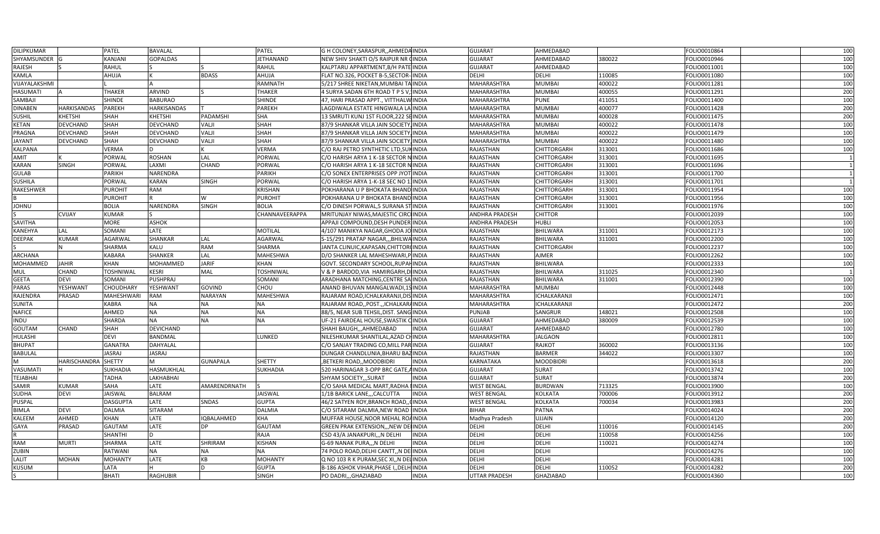| DILIPKUMAR                   |                     | <b>PATEL</b>      | <b>BAVALAL</b>     |                   | PATEL            | G H COLONEY, SARASPUR, , AHMEDA INDIA   |              | <b>GUJARAT</b>        | AHMEDABAD          |                  | FOLIO0010864 | 100        |
|------------------------------|---------------------|-------------------|--------------------|-------------------|------------------|-----------------------------------------|--------------|-----------------------|--------------------|------------------|--------------|------------|
| SHYAMSUNDER                  |                     | <b>KANJANI</b>    | <b>GOPALDAS</b>    |                   | <b>JETHANAND</b> | NEW SHIV SHAKTI O/S RAIPUR NR CINDIA    |              | <b>GUJARAT</b>        | AHMEDABAD          | 380022           | FOLIO0010946 | 100        |
| RAJESH                       |                     | <b>RAHUL</b>      |                    |                   | RAHUL            | KALPTARU APPARTMENT, B/H PATE INDIA     |              | <b>GUJARAT</b>        | AHMEDABAD          |                  | FOLIO0011001 | 100        |
| KAMLA                        |                     | <b>AHUJA</b>      |                    | <b>BDASS</b>      | AHUJA            | FLAT NO.326, POCKET B-5,SECTOR-INDIA    |              | DELHI                 | DELHI              | 110085           | FOLIO0011080 | 100        |
| VIJAYALAKSHMI                |                     |                   |                    |                   | RAMNATH          | 5/217 SHREE NIKETAN, MUMBAI TA INDIA    |              | MAHARASHTRA           | <b>MUMBAI</b>      | 400022           | FOLIO0011281 | 100        |
| HASUMATI                     |                     | <b>THAKER</b>     | <b>ARVIND</b>      |                   | THAKER           | 4 SURYA SADAN 6TH ROAD T P S V, INDIA   |              | <b>MAHARASHTRA</b>    | <b>MUMBAI</b>      | 400055           | FOLIO0011291 | 200        |
| SAMBAJI                      |                     | <b>SHINDE</b>     | <b>BABURAO</b>     |                   | <b>SHINDE</b>    | 47, HARI PRASAD APPT., VITTHALWINDIA    |              | MAHARASHTRA           | <b>PUNE</b>        | 411051           | FOLIO0011400 | 100        |
| <b>DINABEN</b>               | <b>HARKISANDAS</b>  | <b>PAREKH</b>     | <b>HARKISANDAS</b> |                   | PAREKH           | LAGDIWALA ESTATE HINGWALA LA INDIA      |              | MAHARASHTRA           | <b>MUMBAI</b>      | 400077           | FOLIO0011428 | 200        |
| <b>SUSHIL</b>                | KHETSHI             | <b>SHAH</b>       | <b>KHETSHI</b>     | PADAMSHI          | SHA              | 13 SMRUTI KUNJ 1ST FLOOR, 222 SEINDIA   |              | MAHARASHTRA           | <b>MUMBAI</b>      | 400028           | FOLIO0011475 | 200        |
| <b>KETAN</b>                 | DEVCHAND            | <b>SHAH</b>       | <b>DEVCHAND</b>    | VALJI             | SHAH             | 87/9 SHANKAR VILLA JAIN SOCIETY INDIA   |              | MAHARASHTRA           | <b>MUMBAI</b>      | 400022           | FOLIO0011478 | 100        |
| PRAGNA                       | DEVCHAND            | <b>SHAH</b>       | <b>DEVCHAND</b>    | VALJI             | SHAH             | 87/9 SHANKAR VILLA JAIN SOCIETY, INDIA  |              | MAHARASHTRA           | <b>MUMBAI</b>      | 400022           | FOLIO0011479 | 100        |
| <b>JAYANT</b>                | DEVCHAND            | <b>SHAH</b>       | <b>DEVCHAND</b>    | VALJI             | SHAH             | 87/9 SHANKAR VILLA JAIN SOCIETY, INDIA  |              | MAHARASHTRA           | <b>MUMBAI</b>      | 400022           | FOLIO0011480 | 100        |
| KALPANA                      |                     | <b>VERMA</b>      |                    |                   | VERMA            | C/O RAJ PETRO SYNTHETIC LTD,SUKINDIA    |              | RAJASTHAN             | CHITTORGARH        | 313001           | FOLIO0011686 | 100        |
| <b>AMIT</b>                  |                     | PORWAL            | <b>ROSHAN</b>      | LAL               | PORWAL           | C/O HARISH ARYA 1 K-18 SECTOR NINDIA    |              | RAJASTHAN             | CHITTORGARH        | 313001           | FOLIO0011695 |            |
| <b>KARAN</b>                 | SINGH               | PORWAL            | LAXMI              | <b>CHAND</b>      | PORWAL           | C/O HARISH ARYA 1 K-18 SECTOR NINDIA    |              | RAJASTHAN             | CHITTORGARH        | 313001           | FOLIO0011696 |            |
| <b>GULAB</b>                 |                     | <b>PARIKH</b>     | <b>NARENDRA</b>    |                   | PARIKH           | C/O SONEX ENTERPRISES OPP JYOT INDIA    |              | RAJASTHAN             | <b>CHITTORGARH</b> | 313001           | FOLIO0011700 |            |
| <b>SUSHILA</b>               |                     | PORWAL            | <b>KARAN</b>       | <b>SINGH</b>      | PORWAL           | C/O HARISH ARYA 1-K-18 SEC NO 11INDIA   |              | RAJASTHAN             | <b>CHITTORGARH</b> | 313001           | FOLIO0011701 |            |
| RAKESHWER                    |                     | <b>PUROHIT</b>    | <b>RAM</b>         |                   | <b>KRISHAN</b>   | POKHARANA U P BHOKATA BHAND INDIA       |              | RAJASTHAN             | CHITTORGARH        | 313001           | FOLIO0011954 | 100        |
|                              |                     | <b>PUROHIT</b>    |                    | W                 | <b>PUROHIT</b>   | POKHARANA U P BHOKATA BHANDINDIA        |              | RAJASTHAN             | CHITTORGARH        | 313001           | FOLIO0011956 | 100        |
| <b>UNHOL</b>                 |                     | <b>BOLIA</b>      | <b>NARENDRA</b>    | <b>SINGH</b>      | <b>BOLIA</b>     | C/O DINESH PORWAL,5 SURANA STINDIA      |              | RAJASTHAN             | <b>CHITTORGARH</b> | 313001           | FOLIO0011976 | 100        |
|                              | <b>CVIJAY</b>       | <b>KUMAR</b>      |                    |                   | CHANNAVEERAPPA   | MRITUNJAY NIWAS, MAJESTIC CIRC INDIA    |              | <b>ANDHRA PRADESH</b> | <b>CHITTOR</b>     |                  | FOLIO0012039 | 100        |
| SAVITHA                      |                     | <b>MORE</b>       | <b>ASHOK</b>       |                   |                  | APPAJI COMPOUND,DESH PUNDER INDIA       |              | <b>ANDHRA PRADESH</b> | <b>HUBLI</b>       |                  | FOLIO0012053 | 100        |
| <b>KANEHYA</b>               | LAL                 | SOMANI            | LATE               |                   | <b>MOTILAL</b>   | 4/107 MANIKYA NAGAR,GHODA JO INDIA      |              | <b>RAJASTHAN</b>      | <b>BHILWARA</b>    | 311001           | FOLIO0012173 | 100        |
| <b>DEEPAK</b>                | KUMAR               | <b>AGARWAL</b>    | <b>SHANKAR</b>     | LAL               | AGARWAL          | S-15/291 PRATAP NAGAR,,,BHILWAINDIA     |              | RAJASTHAN             | BHILWARA           | 311001           | FOLIO0012200 | 100        |
|                              |                     | <b>SHARMA</b>     | <b>KALU</b>        | <b>RAM</b>        | SHARMA           | JANTA CLINUIC, KAPASAN, CHITTOR INDIA   |              | RAJASTHAN             | <b>CHITTORGARH</b> |                  | FOLIO0012237 | 100        |
| ARCHANA                      |                     | <b>KABARA</b>     | <b>SHANKER</b>     | LAL               | <b>MAHESHWA</b>  | D/O SHANKER LAL MAHESHWARI,PINDIA       |              | RAJASTHAN             | <b>AJMER</b>       |                  | FOLIO0012262 | 100        |
| MOHAMMED                     | <b>JAHIR</b>        | <b>KHAN</b>       | <b>MOHAMMED</b>    | <b>JARIF</b>      | KHAN             | GOVT. SECONDARY SCHOOL, RUPAHINDIA      |              | RAJASTHAN             | <b>BHILWARA</b>    |                  | FOLIO0012333 | 100        |
| MUL                          | CHAND               | <b>TOSHNIWAL</b>  | <b>KESRI</b>       | MAL               | <b>TOSHNIWAL</b> | V & P BARDOD, VIA HAMIRGARH, DIINDIA    |              | RAJASTHAN             | <b>BHILWARA</b>    | 311025           | FOLIO0012340 |            |
| <b>GEETA</b>                 | DEVI                | <b>SOMANI</b>     | <b>PUSHPRAJ</b>    |                   | SOMANI           | ARADHANA MATCHING, CENTRE SA INDIA      |              | RAJASTHAN             | <b>BHILWARA</b>    | 311001           | FOLIO0012390 | 100        |
| PARAS                        | YESHWANT            | <b>CHOUDHARY</b>  | YESHWANT           | <b>GOVIND</b>     | <b>CHOU</b>      | ANAND BHUVAN MANGALWADI,1SINDIA         |              | MAHARASHTRA           | <b>MUMBAI</b>      |                  | FOLIO0012448 | 100        |
| RAJENDRA                     | PRASAD              | <b>MAHESHWARI</b> | <b>RAM</b>         | <b>NARAYAN</b>    | MAHESHWA         | RAJARAM ROAD, ICHALKARANJI, DIS INDIA   |              | MAHARASHTRA           | ICHALKARANJI       |                  | FOLIO0012471 | 100        |
| SUNITA                       |                     | <b>KABRA</b>      | <b>NA</b>          | <b>NA</b>         | <b>NA</b>        | RAJARAM ROAD,, POST.,, ICHALKARAINDIA   |              | MAHARASHTRA           | ICHALKARANJI       |                  | FOLIO0012472 | 200        |
|                              |                     | AHMED             | <b>NA</b>          | <b>NA</b>         | <b>NA</b>        | 88/5, NEAR SUB TEHSIL, DIST. SANG INDIA |              | PUNJAB                | SANGRUR            |                  | FOLIO0012508 | 100        |
| <b>NAFICE</b><br><b>INDU</b> |                     | <b>SHARDA</b>     | <b>NA</b>          | <b>NA</b>         | <b>NA</b>        | UF-21 FAIRDEAL HOUSE,SWASTIK CINDIA     |              | <b>GUJARAT</b>        | AHMEDABAD          | 148021<br>380009 | FOLIO0012539 | 100        |
|                              |                     |                   |                    |                   |                  |                                         |              |                       |                    |                  |              |            |
| GOUTAM                       | CHAND               | <b>SHAH</b>       | <b>DEVICHAND</b>   |                   |                  | SHAHI BAUGH,,,AHMEDABAD                 | <b>INDIA</b> | <b>GUJARAT</b>        | AHMEDABAD          |                  | FOLIO0012780 | 100        |
| <b>HULASHI</b>               |                     | <b>DEVI</b>       | <b>BANDMAL</b>     |                   | LUNKED           | NILESHKUMAR SHANTILAL, AZAD CHINDIA     |              | MAHARASHTRA           | <b>JALGAON</b>     |                  | FOLIO0012811 | 100        |
| <b>BHUPAT</b>                |                     | <b>GANATRA</b>    | <b>DAHYALAL</b>    |                   |                  | C/O SANJAY TRADING CO, MILL PAR INDIA   |              | <b>GUJARAT</b>        | <b>RAJKOT</b>      | 360002           | FOLIO0013136 | 100<br>100 |
| <b>BABULAL</b>               |                     | <b>JASRAJ</b>     | <b>JASRAJ</b>      |                   |                  | DUNGAR CHANDLUNIA, BHARU BAZINDIA       |              | RAJASTHAN             | <b>BARMER</b>      | 344022           | FOLIO0013307 |            |
| M                            | HARISCHANDRA SHETTY |                   | M                  | <b>GUNAPALA</b>   | SHETTY           | BETKERI ROAD,,MOODBIDR                  | <b>INDIA</b> | KARNATAKA             | <b>MOODBIDRI</b>   |                  | FOLIO0013618 | 200        |
| VASUMATI                     |                     | <b>SUKHADIA</b>   | HASMUKHLAL         |                   | <b>SUKHADIA</b>  | 520 HARINAGAR 3-OPP BRC GATE, AINDIA    |              | <b>GUJARAT</b>        | <b>SURAT</b>       |                  | FOLIO0013742 | 100        |
| <b>TEJABHAI</b>              |                     | <b>TADHA</b>      | <b>LAKHABHAI</b>   |                   |                  | SHYAM SOCIETY,,,SURAT                   | <b>INDIA</b> | <b>GUJARAT</b>        | <b>SURAT</b>       |                  | FOLIO0013874 | 200        |
| SAMIR                        | KUMAR               | <b>SAHA</b>       | LATE               | AMARENDRNATH      |                  | C/O SAHA MEDICAL MART,RADHA IINDIA      |              | <b>WEST BENGAL</b>    | <b>BURDWAN</b>     | 713325           | FOLIO0013900 | 100        |
| <b>SUDHA</b>                 | <b>DEVI</b>         | <b>JAISWAL</b>    | <b>BALRAM</b>      |                   | JAISWAL          | 1/1B BARICK LANE,,, CALCUTTA            | <b>INDIA</b> | <b>WEST BENGAL</b>    | <b>KOLKATA</b>     | 700006           | FOLIO0013912 | 200        |
| <b>PUSPAL</b>                |                     | <b>DASGUPTA</b>   | LATE               | <b>SNDAS</b>      | <b>GUPTA</b>     | 46/2 SATYEN ROY, BRANCH ROAD, , CINDIA  |              | <b>WEST BENGAL</b>    | <b>KOLKATA</b>     | 700034           | FOLIO0013983 | 200        |
| <b>BIMLA</b>                 | <b>DEVI</b>         | <b>DALMIA</b>     | <b>SITARAM</b>     |                   | <b>DALMIA</b>    | C/O SITARAM DALMIA,NEW ROAD IINDIA      |              | <b>BIHAR</b>          | <b>PATNA</b>       |                  | FOLIO0014024 | 200        |
| <b>KALEEM</b>                | AHMED               | <b>KHAN</b>       | LATE               | <b>IOBALAHMED</b> | KHA              | MUFFAR HOUSE, NOOR MEHAL ROAINDIA       |              | Madhya Pradesh        | <b>UJJAIN</b>      |                  | FOLIO0014120 | 200        |
| GAYA                         | PRASAD              | <b>GAUTAM</b>     | LATE               | <b>DP</b>         | GAUTAM           | GREEN PRAK EXTENSION,,,NEW DEHNDIA      |              | DELHI                 | <b>DELHI</b>       | 110016           | FOLIO0014145 | 200        |
|                              |                     | <b>SHANTHI</b>    | D                  |                   | RAJA             | C5D 43/A JANAKPURI,,,N DELHI            | <b>INDIA</b> | <b>DELHI</b>          | <b>DELHI</b>       | 110058           | FOLIO0014256 | 100        |
| RAM                          | <b>MURTI</b>        | <b>SHARMA</b>     | LATE               | SHRIRAM           | KISHAN           | G-69 NANAK PURA,,,N DELHI               | <b>INDIA</b> | DELHI                 | <b>DELHI</b>       | 110021           | FOLIO0014274 | 100        |
| ZUBIN                        |                     | RATWANI           | <b>NA</b>          | <b>NA</b>         | <b>NA</b>        | 74 POLO ROAD, DELHI CANTT,, N DE INDIA  |              | DELHI                 | DELHI              |                  | FOLIO0014276 | 100        |
| <b>LALIT</b>                 | <b>MOHAN</b>        | <b>MOHANTY</b>    | LATE               | <b>KB</b>         | <b>MOHANTY</b>   | Q NO 103 R K PURAM,SEC XI,,N DELINDIA   |              | <b>DELHI</b>          | <b>DELHI</b>       |                  | FOLIO0014281 | 100        |
| <b>KUSUM</b>                 |                     | LATA              |                    |                   | GUPTA            | B-186 ASHOK VIHAR,PHASE I,,DELH INDIA   |              | DELHI                 | DELHI              | 110052           | FOLIO0014282 | 200        |
|                              |                     | <b>BHATI</b>      | <b>RAGHUBIR</b>    |                   | SINGH            | PO DADRI,,,GHAZIABAD                    | <b>INDIA</b> | <b>UTTAR PRADESH</b>  | <b>GHAZIABAD</b>   |                  | FOLIO0014360 | 100        |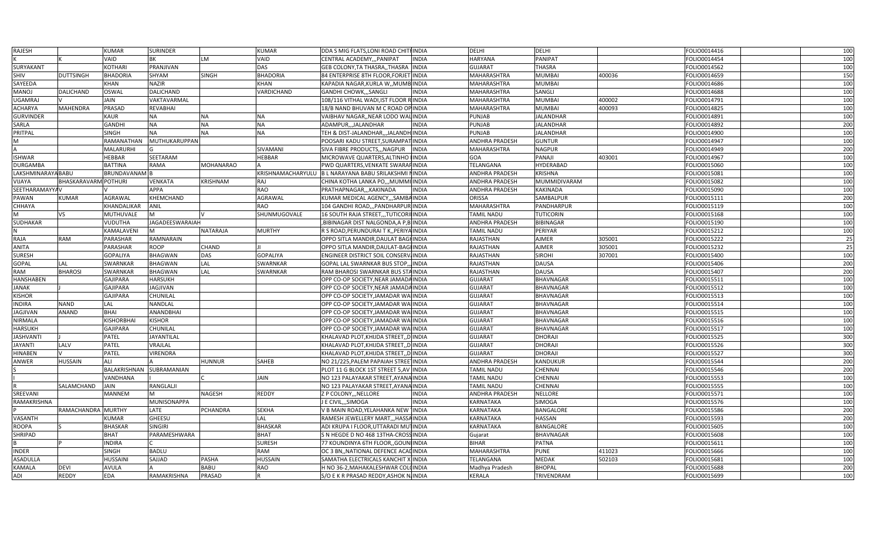| RAJESH                |                             | <b>KUMAR</b>         | <b>SURINDER</b>        |                  | <b>KUMAR</b>      | DDA S MIG FLATS, LONI ROAD CHITFINDIA               |              | <b>DELHI</b>          | DELHI             |        | FOLIO0014416 | 100 |
|-----------------------|-----------------------------|----------------------|------------------------|------------------|-------------------|-----------------------------------------------------|--------------|-----------------------|-------------------|--------|--------------|-----|
|                       |                             | VAID                 | BK                     | LM               | VAID              | CENTRAL ACADEMY, ,, PANIPAT                         | <b>INDIA</b> | <b>HARYANA</b>        | PANIPAT           |        | FOLIO0014454 | 100 |
| SURYAKANT             |                             | <b>KOTHARI</b>       | PRANJIVAN              |                  | <b>DAS</b>        | GEB COLONY,TA THASRA,,THASRA INDIA                  |              | <b>GUJARAT</b>        | <b>THASRA</b>     |        | FOLIO0014562 | 100 |
| SHIV                  | <b>DUTTSINGH</b>            | <b>BHADORIA</b>      | <b>SHYAM</b>           | <b>SINGH</b>     | <b>BHADORIA</b>   | 84 ENTERPRISE 8TH FLOOR,FORJET                      | <b>INDIA</b> | MAHARASHTRA           | <b>MUMBAI</b>     | 400036 | FOLIO0014659 | 150 |
| SAYEEDA               |                             | <b>KHAN</b>          | <b>NAZIR</b>           |                  | <b>KHAN</b>       | KAPADIA NAGAR, KURLA W,, MUMB INDIA                 |              | MAHARASHTRA           | <b>MUMBAI</b>     |        | FOLIO0014686 | 100 |
| MANOJ                 | DALICHAND                   | <b>OSWAL</b>         | <b>DALICHAND</b>       |                  | VARDICHAND        | <b>GANDHI CHOWK,,,SANGL</b>                         | <b>INDIA</b> | <b>MAHARASHTRA</b>    | SANGLI            |        | FOLIO0014688 | 100 |
| UGAMRAJ               |                             | JAIN                 | VAKTAVARMAL            |                  |                   | 108/116 VITHAL WADI, IST FLOOR RINDIA               |              | MAHARASHTRA           | <b>MUMBAI</b>     | 400002 | FOLIO0014791 | 100 |
| ACHARYA               | <b>MAHENDRA</b>             | PRASAD               | <b>REVABHAI</b>        |                  |                   | 18/B NAND BHUVAN M C ROAD OP INDIA                  |              | MAHARASHTRA           | <b>MUMBAI</b>     | 400093 | FOLIO0014825 | 100 |
| <b>GURVINDER</b>      |                             | <b>KAUR</b>          | <b>NA</b>              | <b>NA</b>        | <b>NA</b>         | VAIBHAV NAGAR,,NEAR LODO WALINDIA                   |              | <b>PUNJAB</b>         | <b>JALANDHAR</b>  |        | FOLIO0014891 | 100 |
| SARLA                 |                             | <b>GANDHI</b>        | <b>NA</b>              | <b>NA</b>        | <b>NA</b>         | ADAMPUR,,,JALANDHAR                                 | <b>INDIA</b> | PUNJAB                | <b>JALANDHAR</b>  |        | FOLIO0014892 | 200 |
| PRITPAL               |                             | <b>SINGH</b>         | <b>NA</b>              | <b>NA</b>        | <b>NA</b>         | TEH & DIST-JALANDHAR,,,JALANDH <mark>INDIA</mark>   |              | PUNJAB                | <b>JALANDHAR</b>  |        | FOLIO0014900 | 100 |
| M                     |                             | <b>RAMANATHAN</b>    | <b>MUTHUKARUPPAN</b>   |                  |                   | POOSARI KADU STREET, SURAMPAT                       | INDIA        | ANDHRA PRADESH        | <b>GUNTUR</b>     |        | FOLIO0014947 | 100 |
|                       |                             | <b>MALARURHI</b>     |                        |                  | SIVAMANI          | SIVA FIBRE PRODUCTS,,, NAGPUR                       | <b>INDIA</b> | MAHARASHTRA           | <b>NAGPUR</b>     |        | FOLIO0014949 | 200 |
| <b>ISHWAR</b>         |                             | HEBBAR               | SEETARAM               |                  | HEBBAR            | MICROWAVE QUARTERS, ALTINHO IINDIA                  |              | GOA                   | PANAJI            | 403001 | FOLIO0014967 | 100 |
| <b>DURGAMBA</b>       |                             | <b>BATTINA</b>       | <b>RAMA</b>            | <b>MOHANARAO</b> |                   | PWD QUARTERS, VENKATE SWARAFINDIA                   |              | TELANGANA             | <b>HYDERABAD</b>  |        | FOLIO0015060 | 100 |
| LAKSHMINARAYA BABU    |                             | <b>BRUNDAVANAM</b> B |                        |                  | KRISHNAMACHARYULU | B L NARAYANA BABU SRILAKSHMI NINDIA                 |              | <b>ANDHRA PRADESH</b> | <b>KRISHNA</b>    |        | FOLIO0015081 | 100 |
| VIJAYA                | <b>BHASKARAVARM POTHURI</b> |                      | <b>VENKATA</b>         | KRISHNAM         | <b>RAJ</b>        | CHINA KOTHA LANKA PO,,,MUMMI INDIA                  |              | <b>ANDHRA PRADESH</b> | MUMMIDIVARAM      |        | FOLIO0015082 | 100 |
| <b>SEETHARAMAYYAV</b> |                             |                      | <b>APPA</b>            |                  | <b>RAO</b>        | PRATHAPNAGAR,,,KAKINADA                             | <b>INDIA</b> | ANDHRA PRADESH        | <b>KAKINADA</b>   |        | FOLIO0015090 | 100 |
| PAWAN                 | KUMAR                       | AGRAWAL              | <b>KHEMCHAND</b>       |                  | <b>AGRAWAL</b>    | KUMAR MEDICAL AGENCY,,,SAMBA INDIA                  |              | ORISSA                | SAMBALPUR         |        | FOLIO0015111 | 200 |
| <b>CHHAYA</b>         |                             | <b>KHANDALIKAR</b>   | <b>ANIL</b>            |                  | <b>RAO</b>        | 104 GANDHI ROAD,,,PANDHARPUR INDIA                  |              | MAHARASHTRA           | PANDHARPUR        |        | FOLIO0015119 | 100 |
|                       | VS                          | MUTHUVALE            | M                      |                  | SHUNMUGOVALE      | 16 SOUTH RAJA STREET,,,TUTICORII INDIA              |              | TAMIL NADU            | <b>TUTICORIN</b>  |        | FOLIO0015168 | 100 |
| SUDHAKAR              |                             | <b>VUDUTHA</b>       | <b>JAGADEESWARAIAH</b> |                  |                   | BIBINAGAR DIST NALGONDA,A P,B INDIA,                |              | <b>ANDHRA PRADESH</b> | <b>BIBINAGAR</b>  |        | FOLIO0015190 | 100 |
|                       |                             | KAMALAVENI           | M                      | <b>NATARAJA</b>  | <b>MURTHY</b>     | R S ROAD, PERUNDURAI T K., PERIYA INDIA             |              | <b>TAMIL NADU</b>     | PERIYAR           |        | FOLIO0015212 | 100 |
| RAJA                  | RAM                         | PARASHAR             | RAMNARAIN              |                  |                   | OPPO SITLA MANDIR, DAULAT BAGHINDIA                 |              | RAJASTHAN             | <b>AJMER</b>      | 305001 | FOLIO0015222 | 25  |
| ANITA                 |                             | PARASHAR             | <b>ROOP</b>            | CHAND            |                   | OPPO SITLA MANDIR, DAULAT-BAGHNDIA                  |              | RAJASTHAN             | <b>AJMER</b>      | 305001 | FOLIO0015232 | 25  |
| SURESH                |                             | <b>GOPALIYA</b>      | <b>BHAGWAN</b>         | <b>DAS</b>       | <b>GOPALIYA</b>   | ENGINEER DISTRICT SOIL CONSERVIINDIA                |              | RAJASTHAN             | <b>SIROHI</b>     | 307001 | FOLIO0015400 | 100 |
| GOPAL                 | LAL                         | <b>SWARNKAR</b>      | <b>BHAGWAN</b>         | LAL              | <b>SWARNKAR</b>   | GOPAL LAL SWARNKAR BUS STOP,                        | <b>INDIA</b> | RAJASTHAN             | <b>DAUSA</b>      |        | FOLIO0015406 | 200 |
| RAM                   | <b>BHAROSI</b>              | <b>SWARNKAR</b>      | <b>BHAGWAN</b>         | LAL              | <b>SWARNKAR</b>   | RAM BHAROSI SWARNKAR BUS STAINDIA                   |              | RAJASTHAN             | <b>DAUSA</b>      |        | FOLIO0015407 | 200 |
| HANSHABEN             |                             | <b>GAJIPARA</b>      | <b>HARSUKH</b>         |                  |                   | OPP CO-OP SOCIETY, NEAR JAMADA INDIA                |              | <b>GUJARAT</b>        | <b>BHAVNAGAR</b>  |        | FOLIO0015511 | 100 |
| <b>JANAK</b>          |                             | <b>GAJIPARA</b>      | JAGJIVAN               |                  |                   | OPP CO-OP SOCIETY, NEAR JAMADA INDIA                |              | <b>GUJARAT</b>        | BHAVNAGAR         |        | FOLIO0015512 | 100 |
| <b>KISHOR</b>         |                             | <b>GAJIPARA</b>      | <b>CHUNILAL</b>        |                  |                   | OPP CO-OP SOCIETY, JAMADAR WALINDIA                 |              | <b>GUJARAT</b>        | <b>BHAVNAGAR</b>  |        | FOLIO0015513 | 100 |
| <b>INDIRA</b>         | <b>NAND</b>                 | LAL                  | NANDLAL                |                  |                   | OPP CO-OP SOCIETY, JAMADAR WALINDIA                 |              | <b>GUJARAT</b>        | BHAVNAGAR         |        | FOLIO0015514 | 100 |
| JAGJIVAN              | <b>ANAND</b>                | <b>BHAI</b>          | <b>ANANDBHAI</b>       |                  |                   | OPP CO-OP SOCIETY, JAMADAR WALINDIA                 |              | <b>GUJARAT</b>        | BHAVNAGAR         |        | FOLIO0015515 | 100 |
| NIRMALA               |                             | <b>KISHORBHAI</b>    | <b>KISHOR</b>          |                  |                   | OPP CO-OP SOCIETY, JAMADAR WAIINDIA                 |              | <b>GUJARAT</b>        | <b>BHAVNAGAR</b>  |        | FOLIO0015516 | 100 |
| <b>HARSUKH</b>        |                             | <b>GAJIPARA</b>      | CHUNILAL               |                  |                   | OPP CO-OP SOCIETY, JAMADAR WALINDIA                 |              | <b>GUJARAT</b>        | BHAVNAGAR         |        | FOLIO0015517 | 100 |
| JASHVANTI             |                             | PATEL                | <b>JAYANTILAL</b>      |                  |                   | KHALAVAD PLOT,KHIJDA STREET,,DINDIA                 |              | <b>GUJARAT</b>        | <b>DHORAJI</b>    |        | FOLIO0015525 | 300 |
| <b>JAYANTI</b>        | LALV                        | PATEL                | VRAJLAL                |                  |                   | KHALAVAD PLOT, KHIJDA STREET, D INDIA               |              | <b>GUJARAT</b>        | <b>DHORAJI</b>    |        | FOLIO0015526 | 300 |
| HINABEN               |                             | PATEL                | <b>VIRENDRA</b>        |                  |                   | KHALAVAD PLOT,KHIJDA STREET,,D <mark>I</mark> INDIA |              | <b>GUJARAT</b>        | <b>DHORAJI</b>    |        | FOLIO0015527 | 300 |
| ANWER                 | <b>HUSSAIN</b>              | ALI                  |                        | HUNNUR           | <b>SAHEB</b>      | NO 21/225,PALEM PAPAIAH STREE INDIA                 |              | <b>ANDHRA PRADESH</b> | <b>KANDUKUR</b>   |        | FOLIO0015544 | 200 |
|                       |                             | BALAKRISHNAN         | SUBRAMANIAN            |                  |                   | PLOT 11 G BLOCK 1ST STREET 5, AV INDIA              |              | <b>TAMIL NADU</b>     | <b>CHENNAI</b>    |        | FOLIO0015546 | 200 |
|                       |                             | VANDHANA             |                        |                  | JAIN              | NO 123 PALAYAKAR STREET, AYANA INDIA                |              | <b>TAMIL NADU</b>     | CHENNAI           |        | FOLIO0015553 | 100 |
|                       | SALAMCHAND                  | <b>JAIN</b>          | RANGLALJI              |                  |                   | NO 123 PALAYAKAR STREET, AYANA INDIA                |              | <b>TAMIL NADU</b>     | CHENNAI           |        | FOLIO0015555 | 100 |
| SREEVANI              |                             | <b>MANNEM</b>        | M                      | <b>NAGESH</b>    | <b>REDDY</b>      | Z P COLONY,,, NELLORE                               | <b>INDIA</b> | <b>ANDHRA PRADESH</b> | <b>NELLORE</b>    |        | FOLIO0015571 | 100 |
| RAMAKRISHNA           |                             |                      | <b>MUNISONAPPA</b>     |                  |                   | J E CIVIL,,,SIMOGA                                  | <b>INDIA</b> | KARNATAKA             | SIMOGA            |        | FOLIO0015576 | 100 |
|                       | RAMACHANDRA MURTHY          |                      | LATE                   | PCHANDRA         | <b>SEKHA</b>      | V B MAIN ROAD,YELAHANKA NEW INDIA                   |              | KARNATAKA             | <b>BANGALORE</b>  |        | FOLIO0015586 | 200 |
| VASANTH               |                             | KUMAR                | GHEESU                 |                  | LAL               | RAMESH JEWELLERY MART,,,HASSAINDIA                  |              | KARNATAKA             | <b>HASSAN</b>     |        | FOLIO0015593 | 200 |
| ROOPA                 |                             | <b>BHASKAR</b>       | <b>SINGIRI</b>         |                  | <b>BHASKAR</b>    | ADI KRUPA I FLOOR, UTTARADI MUTINDIA                |              | <b>KARNATAKA</b>      | BANGALORE         |        | FOLIO0015605 | 100 |
| SHRIPAD               |                             | <b>BHAT</b>          | PARAMESHWARA           |                  | <b>BHAT</b>       | S N HEGDE D NO 468 13THA-CROSSINDIA                 |              | Gujarat               | <b>BHAVNAGAR</b>  |        | FOLIO0015608 | 100 |
|                       |                             | <b>INDIRA</b>        |                        |                  | <b>SURESH</b>     | 77 KOUNDINYA 6TH FLOOR,,GOUNHNDIA                   |              | <b>BIHAR</b>          | PATNA             |        | FOLIO0015611 | 100 |
| INDER                 |                             | <b>SINGH</b>         | <b>BADLU</b>           |                  | <b>RAM</b>        | OC 3 BN,, NATIONAL DEFENCE ACALINDIA                |              | <b>MAHARASHTRA</b>    | <b>PUNE</b>       | 411023 | FOLIO0015666 | 100 |
| <b>ASADULLA</b>       |                             | <b>HUSSAINI</b>      | SAJJAD                 | <b>PASHA</b>     | <b>HUSSAIN</b>    | SAMATHA ELECTRICALS KANCHIT                         | (INDIA       | TELANGANA             | <b>MEDAK</b>      | 502103 | FOLIO0015681 | 100 |
| <b>KAMALA</b>         | <b>DEVI</b>                 | <b>AVULA</b>         |                        | <b>BABU</b>      | <b>RAO</b>        | H NO 36-2, MAHAKALESHWAR COLUNDIA                   |              | Madhya Pradesh        | <b>BHOPAL</b>     |        | FOLIO0015688 | 200 |
| ADI                   | REDDY                       | <b>EDA</b>           | RAMAKRISHNA            | PRASAD           | IR.               | S/O E K R PRASAD REDDY, ASHOK NJINDIA               |              | <b>KERALA</b>         | <b>TRIVENDRAM</b> |        | FOLIO0015699 | 100 |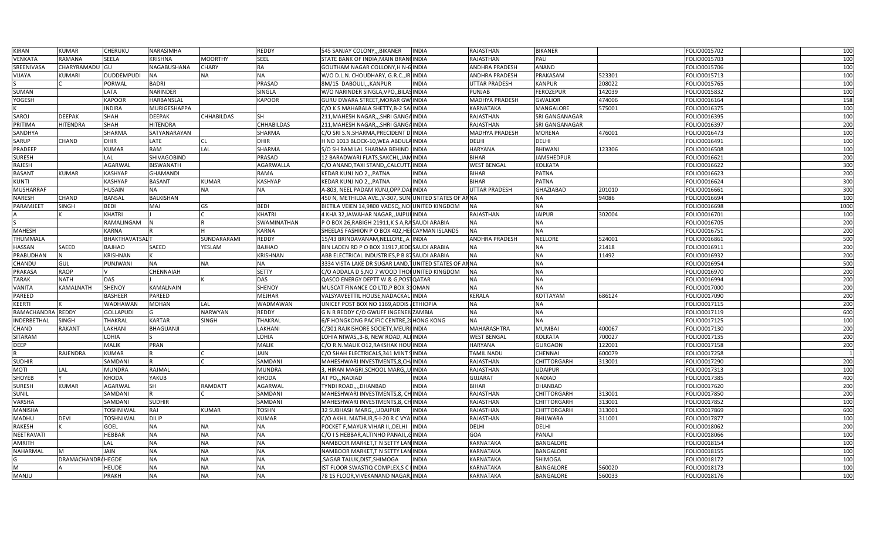| <b>KIRAN</b>       | <b>KUMAR</b>      | <b>CHERUKU</b>        | NARASIMHA                 |                   | REDDY          | 545 SANJAY COLONY,,,BIKANER<br><b>INDIA</b>            | RAJASTHAN             | <b>BIKANER</b>        |        | FOLIO0015702 | 100        |
|--------------------|-------------------|-----------------------|---------------------------|-------------------|----------------|--------------------------------------------------------|-----------------------|-----------------------|--------|--------------|------------|
| <b>VENKATA</b>     | RAMANA            | <b>SEELA</b>          | <b>KRISHNA</b>            | <b>MOORTHY</b>    | <b>SEEL</b>    | STATE BANK OF INDIA, MAIN BRANCINDIA                   | RAJASTHAN             | PALI                  |        | FOLIO0015703 | 100        |
| SREENIVASA         | CHARYRAMADU GU    |                       | NAGABUSHANA               | <b>CHARY</b>      | RA             | GOUTHAM NAGAR COLLONY, H N-6 INDIA                     | ANDHRA PRADESH        | ANAND                 |        | FOLIO0015706 | 100        |
| VIJAYA             | <b>KUMARI</b>     | DUDDEMPUDI            | <b>NA</b>                 | NA                | <b>NA</b>      | W/O D.L.N. CHOUDHARY, G.R.C., JR. INDIA                | ANDHRA PRADESH        | PRAKASAM              | 523301 | FOLIO0015713 | 100        |
|                    |                   | PORWAL                | <b>BADRI</b>              |                   | PRASAD         | 8M/15 DABOULI,,,KANPUR<br><b>INDIA</b>                 | <b>UTTAR PRADESH</b>  | KANPUR                | 208022 | FOLIO0015765 | 100        |
| SUMAN              |                   | LATA                  | <b>NARINDER</b>           |                   | SINGLA         | W/O NARINDER SINGLA, VPO., BILASINDIA                  | <b>PUNJAB</b>         | <b>FEROZEPUR</b>      | 142039 | FOLIO0015832 | 100        |
| YOGESH             |                   | <b>KAPOOR</b>         | <b>HARBANSLAL</b>         |                   | <b>KAPOOR</b>  | GURU DWARA STREET, MORAR GW INDIA                      | <b>MADHYA PRADESH</b> | <b>GWALIOR</b>        | 474006 | FOLIO0016164 | 158        |
|                    |                   | INDIRA                | <b>MURIGESHAPPA</b>       |                   |                | C/O K S MAHABALA SHETTY, B-2 SAI INDIA                 | KARNATAKA             | MANGALORE             | 575001 | FOLIO0016375 | 100        |
| SAROJ              | <b>DEEPAK</b>     | SHAH                  | <b>DEEPAK</b>             | <b>CHHABILDAS</b> | SН             | 211, MAHESH NAGAR,  SHRI GANGAINDIA                    | RAJASTHAN             | <b>SRI GANGANAGAR</b> |        | FOLIO0016395 | 100        |
| PRITIMA            | HITENDRA          | SHAH                  | <b>HITENDRA</b>           |                   | CHHABILDAS     | 211, MAHESH NAGAR,  SHRI GANGA INDIA                   | RAJASTHAN             | SRI GANGANAGAR        |        | FOLIO0016397 | 200        |
| SANDHYA            |                   | SHARMA                | SATYANARAYAN              |                   | SHARMA         | C/O SRI S.N.SHARMA, PRECIDENT DIINDIA                  | <b>MADHYA PRADESH</b> | <b>MORENA</b>         | 476001 | FOLIO0016473 | 100        |
| SARUP              | <b>CHAND</b>      | DHIR                  | LATE                      | <b>CL</b>         | <b>DHIR</b>    | H NO 1013 BLOCK-10, WEA ABDULA INDIA                   | DELHI                 | DELHI                 |        | FOLIO0016491 | 100        |
| PRADEEP            |                   | KUMAR                 | <b>RAM</b>                | LAL               | SHARMA         | S/O SH RAM LAL SHARMA BEHIND IINDIA                    | <b>HARYANA</b>        | BHIWANI               | 123306 | FOLIO0016508 | 100        |
| <b>SURESH</b>      |                   | Lal                   | <b>SHIVAGOBIND</b>        |                   | PRASAD         | 12 BARADWARI FLATS, SAKCHI, JAM INDIA                  | <b>BIHAR</b>          | <b>JAMSHEDPUR</b>     |        | FOLIO0016621 | 200        |
| RAJESH             |                   | <b>AGARWAL</b>        | <b>BISWANATH</b>          |                   | AGARWALLA      | C/O ANAND, TAXI STAND, , CALCUTT, INDIA                | WEST BENGAL           | <b>KOLKATA</b>        |        | FOLIO0016622 | 300        |
| <b>BASANT</b>      | <b>KUMAR</b>      | <b>KASHYAP</b>        | <b>GHAMANDI</b>           |                   | RAMA           | KEDAR KUNJ NO 2,,, PATNA<br><b>INDIA</b>               | <b>BIHAR</b>          | PATNA                 |        | FOLIO0016623 | 200        |
| <b>KUNTI</b>       |                   | <b>KASHYAP</b>        | <b>BASANT</b>             | <b>KUMAR</b>      | <b>KASHYAP</b> | <b>INDIA</b><br>KEDAR KUNJ NO 2., PATNA                | <b>BIHAR</b>          | <b>PATNA</b>          |        | FOLIO0016624 | 300        |
| <b>MUSHARRAF</b>   |                   | <b>HUSAIN</b>         | <b>NA</b>                 | <b>NA</b>         | <b>NA</b>      | A-803, NEEL PADAM KUNJ, OPP. DAE INDIA                 | <b>UTTAR PRADESH</b>  | <b>GHAZIABAD</b>      | 201010 | FOLIO0016661 | 300        |
| <b>NARESH</b>      | CHAND             | <b>BANSAL</b>         | <b>BALKISHAN</b>          |                   |                | 450 N, METHILDA AVE., V-307, SUNIUNITED STATES OF ANNA |                       | NA                    | 94086  | FOLIO0016694 | 100        |
| PARAMJEET          | <b>SINGH</b>      | BEDI                  | MAJ                       | GS                | BEDI           | BIETILA VEIEN 14,9800 VADSQ,, NOI UNITED KINGDOM       | <b>NA</b>             | <b>NA</b>             |        | FOLIO0016698 | 1000       |
|                    |                   | KHATRI                |                           |                   | KHATRI         | 4 KHA 32, JAWAHAR NAGAR, JAIPUI INDIA                  | RAJASTHAN             | <b>JAIPUR</b>         | 302004 | FOLIO0016701 | 100        |
|                    |                   | RAMALINGAM            |                           |                   | SWAMINATHAN    | P O BOX 26, RABIGH 21911, K S A, RASAUDI ARABIA        | ΝA                    | <b>NA</b>             |        | FOLIO0016705 | 200        |
| <b>MAHESH</b>      |                   | KARNA                 |                           |                   | <b>KARNA</b>   | SHEELAS FASHION P O BOX 402, HEI CAYMAN ISLANDS        | <b>NA</b>             | <b>NA</b>             |        | FOLIO0016751 | 200        |
| THUMMALA           |                   | <b>BHAKTHAVATSALT</b> |                           | SUNDARARAMI       | REDDY          | 15/43 BRINDAVANAM, NELLORE, A INDIA                    | ANDHRA PRADESH        | <b>NELLORE</b>        | 524001 | FOLIO0016861 | 500        |
| HASSAN             | SAEED             | BAJHAO                | SAEED                     | YESLAM            | BAJHAO         | BIN LADEN RD P O BOX 31917, JEDD SAUDI ARABIA          | NA                    | <b>NA</b>             | 21418  | FOLIO0016911 | 200        |
| PRABUDHAN          | N.                | <b>KRISHNAN</b>       |                           |                   | KRISHNAN       | ABB ELECTRICAL INDUSTRIES,P B 87SAUDI ARABIA           | NA                    | NA                    | 11492  | FOLIO0016932 | 200        |
| CHANDU             | GUL               | PUNJWANI              | <b>NA</b>                 | <b>NA</b>         | <b>NA</b>      | 3334 VISTA LAKE DR SUGAR LAND, JUNITED STATES OF ANNA  |                       | <b>NA</b>             |        | FOLIO0016954 | 500        |
| PRAKASA            | <b>RAOP</b>       |                       | <b>CHENNAIAH</b>          |                   | <b>SETTY</b>   | C/O ADDALA D S, NO 7 WOOD THOI UNITED KINGDOM          | NA                    | <b>NA</b>             |        | FOLIO0016970 | 200        |
| <b>TARAK</b>       | <b>NATH</b>       | DAS                   |                           |                   | DAS            | QASCO ENERGY DEPTT W & G, POSTQATAR                    | <b>NA</b>             | <b>NA</b>             |        | FOLIO0016994 | 200        |
| <b>VANITA</b>      | KAMALNATH         | <b>SHENOY</b>         | <b>KAMALNAIN</b>          |                   | <b>SHENOY</b>  | MUSCAT FINANCE CO LTD, P BOX 310MAN                    | <b>NA</b>             | <b>NA</b>             |        | FOLIO0017000 | 200        |
| PAREED             |                   | <b>BASHEER</b>        | <b>PAREED</b>             |                   | <b>MEJHAR</b>  | VALSYAVEETTIL HOUSE, NADACKAL INDIA                    | <b>KERALA</b>         | KOTTAYAM              | 686124 | FOLIO0017090 | 200        |
| KEERTI             |                   | WADHAWAN              | <b>MOHAN</b>              | LAL               | WADMAWAN       | UNICEF POST BOX NO 1169, ADDIS<br><b>ETHIOPIA</b>      | <b>NA</b>             | <b>NA</b>             |        | FOLIO0017115 | 200        |
| RAMACHANDRA REDDY  |                   | <b>GOLLAPUDI</b>      | G                         | <b>NARWYAN</b>    | REDDY          | G N R REDDY C/O GWUFF INGENEI<br>ZAMBIA                | NA                    | <b>NA</b>             |        | FOLIO0017119 | 600        |
| <b>INDERBETHAL</b> | <b>SINGH</b>      | <b>THAKRAL</b>        | <b>KARTAR</b>             | <b>SINGH</b>      | THAKRAL        | 6/F HONGKONG PACIFIC CENTRE, 28 HONG KONG              | <b>NA</b>             | <b>NA</b>             |        | FOLIO0017125 | 100        |
| CHAND              | <b>RAKANT</b>     | LAKHANI               | <b>BHAGUANJI</b>          |                   | LAKHANI        | C/301 RAJKISHORE SOCIETY, MEURI INDIA                  | <b>MAHARASHTRA</b>    | <b>MUMBAI</b>         | 400067 | FOLIO0017130 | 200        |
| SITARAM            |                   | LOHIA                 |                           |                   | LOHIA          | LOHIA NIWAS, 3-B, NEW ROAD, ALI INDIA                  | <b>WEST BENGAL</b>    | <b>KOLKATA</b>        | 700027 | FOLIO0017135 | 200        |
| <b>DEEP</b>        |                   | <b>MALIK</b>          | <b>PRAN</b>               |                   | <b>MALIK</b>   | C/O R.N.MALIK 012, RAKSHAK HOU INDIA                   | <b>HARYANA</b>        | <b>GURGAON</b>        | 122001 | FOLIO0017158 | 200        |
|                    | RAJENDRA          | <b>KUMAR</b>          |                           |                   | JAIN           | C/O SHAH ELECTRICALS, 341 MINT SINDIA                  | TAMIL NADU            | CHENNAI               | 600079 | FOLIO0017258 |            |
| <b>SUDHIR</b>      |                   | SAMDANI               |                           |                   | SAMDANI        | MAHESHWARI INVESTMENTS, 8, CH, INDIA                   | RAJASTHAN             | CHITTORGARH           | 313001 | FOLIO0017290 | 200        |
| <b>MOTI</b>        | LAL               | <b>MUNDRA</b>         | RAJMAL                    |                   | <b>MUNDRA</b>  | 3, HIRAN MAGRI, SCHOOL MARG, U INDIA                   | RAJASTHAN             | <b>UDAIPUR</b>        |        | FOLIO0017313 | 100        |
| SHOYEB             |                   | KHODA                 | YAKUB                     |                   | <b>KHODA</b>   | <b>INDIA</b><br>AT PONADIAD                            | <b>GUJARAT</b>        | <b>NADIAD</b>         |        | FOLIO0017385 | 400        |
| <b>SURESH</b>      | <b>KUMAR</b>      | AGARWAL               | SH                        | <b>RAMDATT</b>    | <b>AGARWAL</b> | TYNDI ROAD,,,,DHANBAD<br><b>INDIA</b>                  | <b>BIHAR</b>          | <b>DHANBAD</b>        |        | FOLIO0017620 | 200        |
| <b>SUNIL</b>       |                   | SAMDANI               |                           |                   | SAMDANI        | MAHESHWARI INVESTMENTS, 8, CH INDIA                    | RAJASTHAN             | CHITTORGARH           | 313001 | FOLIO0017850 | 200        |
| VARSHA             |                   | SAMDANI               | <b>SUDHIR</b>             |                   | SAMDANI        | MAHESHWARI INVESTMENTS, 8, CH INDIA                    | RAJASTHAN             | CHITTORGARH           | 313001 | FOLIO0017852 | 100        |
| <b>MANISHA</b>     |                   | toshniwal             | RAJ                       | <b>KUMAR</b>      | <b>TOSHN</b>   | 32 SUBHASH MARG,,,UDAIPUR<br><b>INDIA</b>              | RAJASTHAN             | CHITTORGARH           | 313001 | FOLIO0017869 | 600        |
|                    |                   |                       |                           |                   | <b>KUMAR</b>   |                                                        |                       |                       |        |              |            |
| MADHU              | <b>DEVI</b>       | <b>TOSHNIWAL</b>      | <b>DILIP</b><br><b>NA</b> |                   | <b>NA</b>      | C/O AKHIL MATHUR, 5-1-20 R C VYA INDIA                 | RAJASTHAN             | BHILWARA              | 311001 | FOLIO0017877 | 100<br>200 |
| <b>RAKESH</b>      |                   | GOEL                  |                           | <b>NA</b>         |                | POCKET F, MAYUR VIHAR II, , DELHI<br><b>INDIA</b>      | DELHI                 | DELHI                 |        | FOLIO0018062 |            |
| NEETRAVATI         |                   | HEBBAR                | <b>NA</b>                 | <b>NA</b>         | <b>NA</b>      | C/O I S HEBBAR, ALTINHO PANAJI, GINDIA                 | GOA                   | PANAJI                |        | FOLIO0018066 | 100        |
| AMRITH             |                   | LAL                   | <b>NA</b>                 | <b>NA</b>         | <b>NA</b>      | NAMBOOR MARKET, TN SETTY LAN INDIA                     | KARNATAKA             | <b>BANGALORE</b>      |        | FOLIO0018154 | 100        |
| <b>NAHARMAL</b>    |                   | JAIN                  | <b>NA</b>                 | <b>NA</b>         | <b>NA</b>      | NAMBOOR MARKET, TN SETTY LAN INDIA                     | KARNATAKA             | <b>BANGALORE</b>      |        | FOLIO0018155 | 100        |
|                    | DRAMACHANDRAHEGDE |                       | <b>NA</b>                 | <b>NA</b>         | <b>NA</b>      | SAGAR TALUK, DIST, SHIMOGA<br><b>INDIA</b>             | KARNATAKA             | <b>SHIMOGA</b>        |        | FOLIO0018172 | 100        |
| M                  |                   | HEUDE                 | <b>NA</b>                 | <b>NA</b>         | <b>NA</b>      | IST FLOOR SWASTIQ COMPLEX, S C HNDIA                   | KARNATAKA             | <b>BANGALORE</b>      | 560020 | FOLIO0018173 | 100        |
| MANJU              |                   | PRAKH                 | <b>NA</b>                 | <b>NA</b>         | <b>NA</b>      | 78 1S FLOOR, VIVEKANAND NAGAR, INDIA                   | <b>KARNATAKA</b>      | BANGALORE             | 560033 | FOLIO0018176 | 100        |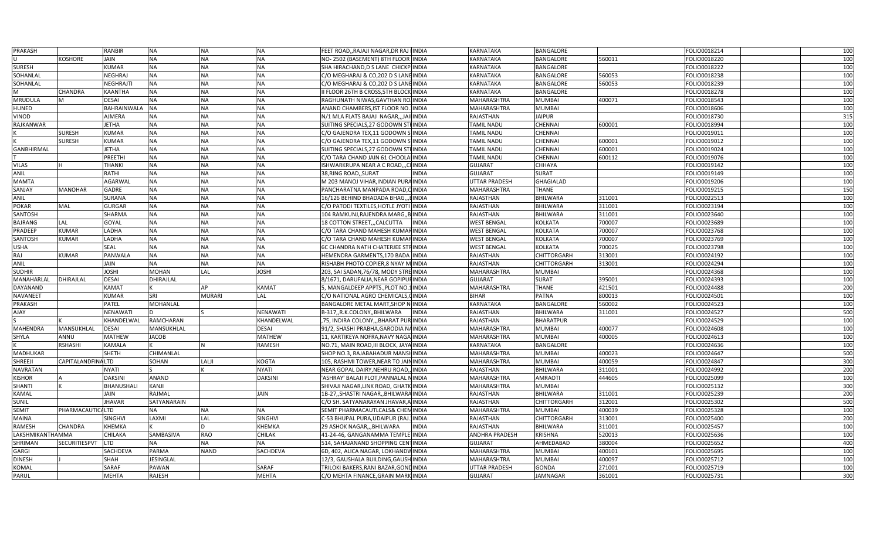| PRAKASH          |                   | RANBIR        | <b>NA</b>        | <b>NA</b>     | <b>NA</b>       | FEET ROAD,, RAJAJI NAGAR, DR RAJ INDIA       | <b>KARNATAKA</b>     | <b>BANGALORE</b>   |        | FOLIO0018214 | 100 |
|------------------|-------------------|---------------|------------------|---------------|-----------------|----------------------------------------------|----------------------|--------------------|--------|--------------|-----|
|                  | <b>KOSHORE</b>    | JAIN          | <b>NA</b>        | <b>NA</b>     | <b>NA</b>       | NO- 2502 (BASEMENT) 8TH FLOOR INDIA          | KARNATAKA            | <b>BANGALORE</b>   | 560011 | FOLIO0018220 | 100 |
| <b>SURESH</b>    |                   | <b>KUMAR</b>  | <b>NA</b>        | <b>NA</b>     | <b>NA</b>       | SHA HIRACHAND, D S LANE CHICKP INDIA         | KARNATAKA            | BANGALORE          |        | FOLIO0018222 | 100 |
| SOHANLAL         |                   | NEGHRAJ       | <b>NA</b>        | <b>NA</b>     | <b>NA</b>       | C/O MEGHARAJ & CO, 202 D S LANE INDIA        | KARNATAKA            | BANGALORE          | 560053 | FOLIO0018238 | 100 |
| SOHANLAL         |                   | NEGHRAJTI     | <b>NA</b>        | <b>NA</b>     | <b>NA</b>       | C/O MEGHARAJ & CO, 202 D S LANEINDIA         | KARNATAKA            | BANGALORE          | 560053 | FOLIO0018239 | 100 |
|                  | CHANDRA           | KAANTHA       | <b>NA</b>        | <b>NA</b>     | <b>NA</b>       | II FLOOR 26TH B CROSS, 5TH BLOCK INDIA       | KARNATAKA            | BANGALORE          |        | FOLIO0018278 | 100 |
| <b>MRUDULA</b>   | M                 | DESAI         | <b>NA</b>        | <b>NA</b>     | <b>NA</b>       | RAGHUNATH NIWAS, GAVTHAN RO INDIA            | MAHARASHTRA          | <b>MUMBAI</b>      | 400071 | FOLIO0018543 | 100 |
| <b>HUNED</b>     |                   | BAHRAINWALA   | <b>NA</b>        | <b>NA</b>     | <b>NA</b>       | ANAND CHAMBERS, IST FLOOR NO. INDIA          | MAHARASHTRA          | <b>MUMBAI</b>      |        | FOLIO0018606 | 100 |
| VINOD            |                   | <b>AJMERA</b> | <b>NA</b>        | <b>NA</b>     | <b>NA</b>       | N/1 MLA FLATS BAJAJ NAGAR,,,JAII INDIA       | RAJASTHAN            | <b>JAIPUR</b>      |        | FOLIO0018730 | 315 |
| RAJKANWAR        |                   | <b>JETHA</b>  | <b>NA</b>        | <b>NA</b>     | <b>NA</b>       | SUITING SPECIALS, 27 GODOWN STHINDIA         | TAMIL NADU           | CHENNAI            | 600001 | FOLIO0018994 | 100 |
|                  | <b>SURESH</b>     | <b>KUMAR</b>  | <b>NA</b>        | <b>NA</b>     | <b>NA</b>       | C/O GAJENDRA TEX, 11 GODOWN SINDIA           | TAMIL NADU           | CHENNAI            |        | FOLIO0019011 | 100 |
|                  | <b>SURESH</b>     | <b>KUMAR</b>  | <b>NA</b>        | <b>NA</b>     | <b>NA</b>       | C/O GAJENDRA TEX, 11 GODOWN S'INDIA          | TAMIL NADU           | CHENNAI            | 600001 | FOLIO0019012 | 100 |
| GANBHIRMAL       |                   | <b>JETHA</b>  | <b>NA</b>        | <b>NA</b>     | <b>NA</b>       | SUITING SPECIALS, 27 GODOWN STHINDIA         | TAMIL NADU           | CHENNAI            | 600001 | FOLIO0019024 | 100 |
|                  |                   | PREETHI       | <b>NA</b>        | <b>NA</b>     | <b>NA</b>       | C/O TARA CHAND JAIN 61 CHOOLA INDIA          | TAMIL NADU           | CHENNAI            | 600112 | FOLIO0019076 | 100 |
| <b>VILAS</b>     |                   | <b>THANKI</b> | <b>NA</b>        | <b>NA</b>     | <b>NA</b>       | ISHWARKRUPA NEAR A C ROAD, ,CHINDIA          | <b>GUJARAT</b>       | CHHAYA             |        | FOLIO0019142 | 100 |
| <b>ANIL</b>      |                   | RATHI         | <b>NA</b>        | <b>NA</b>     | <b>NA</b>       | 38, RING ROAD, , SURAT<br><b>INDIA</b>       | <b>GUJARAT</b>       | SURAT              |        | FOLIO0019149 | 100 |
| <b>MAMTA</b>     |                   | AGARWAI       | <b>NA</b>        | <b>NA</b>     | <b>NA</b>       | M 203 MANOJ VIHAR, INDIAN PURAINDIA          | UTTAR PRADESH        | <b>GHAGIALAD</b>   |        | FOLIO0019206 | 100 |
| SANJAY           | <b>MANOHAR</b>    | GADRE         | <b>NA</b>        | <b>NA</b>     | <b>NA</b>       | PANCHARATNA MANPADA ROAD, CINDIA             | MAHARASHTRA          | <b>THANE</b>       |        | FOLIO0019215 | 150 |
| <b>ANIL</b>      |                   | SURANA        | <b>NA</b>        | <b>NA</b>     | <b>NA</b>       | 16/126 BEHIND BHADADA BHAG IINDIA            | RAJASTHAN            | BHILWARA           | 311001 | FOLIO0022513 | 100 |
| <b>POKAR</b>     | MAL               | <b>GURGAR</b> | <b>NA</b>        | <b>NA</b>     | <b>NA</b>       | C/O PATODI TEXTILES, HOTLE JYOTI INDIA       | RAJASTHAN            | BHILWARA           | 311001 | FOLIO0023194 | 100 |
| SANTOSH          |                   | SHARMA        | <b>NA</b>        | <b>NA</b>     | <b>NA</b>       | 104 RAMKUNJ, RAJENDRA MARG, BINDIA           | RAJASTHAN            | BHILWARA           | 311001 | FOLIO0023640 | 100 |
| <b>BAJRANG</b>   | LAL               | GOYAL         | <b>NA</b>        | <b>NA</b>     | <b>NA</b>       | 18 COTTON STREET, , CALCUTTA<br><b>INDIA</b> | <b>WEST BENGAL</b>   | <b>KOLKATA</b>     | 700007 | FOLIO0023689 | 100 |
| PRADEEP          | <b>KUMAR</b>      | LADHA         | <b>NA</b>        | <b>NA</b>     | <b>NA</b>       | C/O TARA CHAND MAHESH KUMARINDIA             | <b>WEST BENGAL</b>   | <b>KOLKATA</b>     | 700007 | FOLIO0023768 | 100 |
| SANTOSH          | <b>KUMAR</b>      | LADHA         | <b>NA</b>        | <b>NA</b>     | <b>NA</b>       | C/O TARA CHAND MAHESH KUMARINDIA             | <b>WEST BENGAL</b>   | <b>KOLKATA</b>     | 700007 | FOLIO0023769 | 100 |
| <b>USHA</b>      |                   | SEAL          | <b>NA</b>        | <b>NA</b>     | <b>NA</b>       | 6C CHANDRA NATH CHATERJEE STRINDIA           | <b>WEST BENGAL</b>   | KOLKATA            | 700025 | FOLIO0023798 | 100 |
| RAJ              | <b>KUMAR</b>      | PANWALA       | <b>NA</b>        | <b>NA</b>     | <b>NA</b>       | HEMENDRA GARMENTS, 170 BADA INDIA            | RAJASTHAN            | CHITTORGARH        | 313001 | FOLIO0024192 | 100 |
|                  |                   | <b>AIAL</b>   | <b>NA</b>        | <b>NA</b>     | <b>NA</b>       |                                              |                      |                    | 313001 | FOLIO0024294 | 100 |
| <b>ANIL</b>      |                   |               |                  |               |                 | RISHABH PHOTO COPIER, 8 NYAY M INDIA         | RAJASTHAN            | <b>CHITTORGARH</b> |        |              |     |
| <b>SUDHIR</b>    |                   | <b>IHZOL</b>  | <b>MOHAN</b>     | LAL           | <b>JOSHI</b>    | 203, SAI SADAN, 76/78, MODY STREINDIA        | MAHARASHTRA          | <b>MUMBAI</b>      |        | FOLIO0024368 | 100 |
| MANAHARLAL       | DHIRAJLAL         | DESAI         | DHIRAJLAL        |               |                 | 8/1671, DARUFALIA, NEAR GOPIPUHINDIA         | <b>GUJARAT</b>       | <b>SURAT</b>       | 395001 | FOLIO0024393 | 100 |
| DAYANAND         |                   | KAMAT         |                  | AP            | <b>KAMAT</b>    | 5, MANGALDEEP APPTS., PLOT NO.1 INDIA        | MAHARASHTRA          | <b>THANE</b>       | 421501 | FOLIO0024488 | 200 |
| NAVANEET         |                   | <b>KUMAR</b>  | SRI              | <b>MURARI</b> | LAL             | C/O NATIONAL AGRO CHEMICALS, CINDIA          | <b>BIHAR</b>         | PATNA              | 800013 | FOLIO0024501 | 100 |
| PRAKASH          |                   | PATEL         | <b>MOHANLAL</b>  |               |                 | BANGALORE METAL MART, SHOP N INDIA           | KARNATAKA            | BANGALORE          | 560002 | FOLIO0024523 | 100 |
| <b>AJAY</b>      |                   | NENAWATI      |                  |               | <b>NENAWATI</b> | B-317R.K.COLONYBHILWARA<br><b>INDIA</b>      | <b>RAJASTHAN</b>     | <b>BHILWARA</b>    | 311001 | FOLIO0024527 | 500 |
|                  |                   | KHANDELWAL    | RAMCHARAN        |               | KHANDELWAL      | ,75, INDIRA COLONY, ,, BHARAT PUR INDIA      | RAJASTHAN            | BHARATPUR          |        | FOLIO0024529 | 100 |
| MAHENDRA         | MANSUKHLAL        | <b>DESAI</b>  | MANSUKHLAL       |               | <b>DESAI</b>    | 91/2, SHASHI PRABHA, GARODIA NAINDIA         | MAHARASHTRA          | <b>MUMBAI</b>      | 400077 | FOLIO0024608 | 100 |
| SHYLA            | ANNU              | <b>MATHEW</b> | <b>JACOB</b>     |               | <b>MATHEW</b>   | 11, KARTIKEYA NOFRA, NAVY NAGA INDIA         | MAHARASHTRA          | <b>MUMBAI</b>      | 400005 | FOLIO0024613 | 100 |
|                  | <b>RSHASHI</b>    | KAMALA        |                  |               | RAMESH          | NO.71, MAIN ROAD, III BLOCK, JAYA INDIA      | KARNATAKA            | BANGALORE          |        | FOLIO0024636 | 100 |
| <b>MADHUKAR</b>  |                   | <b>SHETH</b>  | CHIMANLAL        |               |                 | SHOP NO.3, RAJABAHADUR MANSI INDIA           | MAHARASHTRA          | <b>MUMBAI</b>      | 400023 | FOLIO0024647 | 500 |
| SHREEJI          | CAPITALANDFINALTD |               | SOHAN            | LALJI         | KOGTA           | 105, RASHMI TOWER, NEAR TO JAININDIA         | MAHARASHTRA          | <b>MUMBAI</b>      | 400059 | FOLIO0024847 | 300 |
| NAVRATAN         |                   | NYATI         |                  |               | NYATI           | NEAR GOPAL DAIRY, NEHRU ROAD,, INDIA         | RAJASTHAN            | BHILWARA           | 311001 | FOLIO0024992 | 200 |
| <b>KISHOR</b>    |                   | DAKSINI       | <b>ANAND</b>     |               | <b>DAKSINI</b>  | 'ASHRAY' BALAJI PLOT, PANNALAL NINDIA        | MAHARASHTRA          | <b>AMRAOTI</b>     | 444605 | FOLIO0025099 | 100 |
| SHANTI           |                   | BHANUSHALI    | KANJI            |               |                 | SHIVAJI NAGAR, LINK ROAD, GHATK INDIA        | MAHARASHTRA          | <b>MUMBAI</b>      |        | FOLIO0025132 | 300 |
| KAMAL            |                   | JAIN          | RAJMAL           |               | JAIN            | 1B-27, SHASTRI NAGAR, BHILWARA INDIA         | RAJASTHAN            | BHILWARA           | 311001 | FOLIO0025239 | 200 |
| <b>SUNIL</b>     |                   | <b>JHAVAR</b> | SATYANARAIN      |               |                 | C/O SH. SATYANARAYAN JHAVAR.A INDIA          | RAJASTHAN            | CHITTORGARH        | 312001 | FOLIO0025302 | 500 |
| <b>SEMIT</b>     | PHARMACAUTICALTD  |               | <b>NA</b>        | <b>NA</b>     | <b>NA</b>       | SEMIT PHARMACAUTLCALS& CHEMINDIA             | MAHARASHTRA          | <b>MUMBAI</b>      | 400039 | FOLIO0025328 | 100 |
| <b>MAINA</b>     |                   | SINGHVI       | LAXMI            | LAL           | <b>SINGHVI</b>  | C-53 BHUPAL PURA, UDAIPUR (RAJ. INDIA        | RAJASTHAN            | CHITTORGARH        | 313001 | FOLIO0025400 | 200 |
| <b>RAMESH</b>    | <b>CHANDRA</b>    | KHEMKA        |                  | ID            | KHEMKA          | 29 ASHOK NAGAR,,,BHILWARA<br><b>INDIA</b>    | RAJASTHAN            | <b>BHILWARA</b>    | 311001 | FOLIO0025457 | 100 |
| LAKSHMIKANTHAMMA |                   | CHILAKA       | SAMBASIVA        | <b>RAO</b>    | <b>CHILAK</b>   | 41-24-46, GANGANAMMA TEMPLE INDIA            | ANDHRA PRADESH       | <b>KRISHNA</b>     | 520013 | FOLIO0025636 | 100 |
| <b>SHRIMAN</b>   | SECURITIESPVT     | <b>LTD</b>    | <b>NA</b>        | <b>NA</b>     | <b>NA</b>       | 514. SAHAJANAND SHOPPING CENTINDIA           | <b>GUJARAT</b>       | AHMEDABAD          | 380004 | FOLIO0025652 | 400 |
| GARGI            |                   | SACHDEVA      | <b>PARMA</b>     | <b>NAND</b>   | SACHDEVA        | 6D, 402, ALICA NAGAR, LOKHANDWINDIA          | MAHARASHTRA          | <b>MUMBAI</b>      | 400101 | FOLIO0025695 | 100 |
| <b>DINESH</b>    |                   | SHAH          | <b>JESINGLAL</b> |               |                 | 12/3, GAUSHALA BUILDING, GAUSH INDIA         | MAHARASHTRA          | <b>MUMBAI</b>      | 400097 | FOLIO0025712 | 100 |
| <b>KOMAL</b>     |                   | SARAF         | <b>PAWAN</b>     |               | SARAF           | TRILOKI BAKERS.RANI BAZAR.GONLINDIA          | <b>UTTAR PRADESH</b> | <b>GONDA</b>       | 271001 | FOLIO0025719 | 100 |
| <b>PARUL</b>     |                   | <b>MEHTA</b>  | <b>RAJESH</b>    |               | <b>MEHTA</b>    | C/O MEHTA FINANCE, GRAIN MARK INDIA          | <b>GUJARAT</b>       | <b>JAMNAGAR</b>    | 361001 | FOLIO0025731 | 300 |